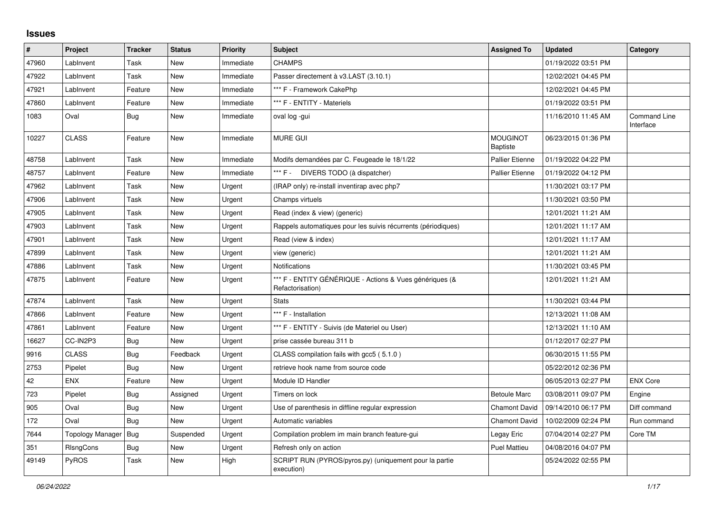## **Issues**

| $\sharp$ | Project                 | <b>Tracker</b> | <b>Status</b> | <b>Priority</b> | <b>Subject</b>                                                              | <b>Assigned To</b>                 | <b>Updated</b>      | Category                         |
|----------|-------------------------|----------------|---------------|-----------------|-----------------------------------------------------------------------------|------------------------------------|---------------------|----------------------------------|
| 47960    | LabInvent               | Task           | New           | Immediate       | <b>CHAMPS</b>                                                               |                                    | 01/19/2022 03:51 PM |                                  |
| 47922    | LabInvent               | Task           | New           | Immediate       | Passer directement à v3.LAST (3.10.1)                                       |                                    | 12/02/2021 04:45 PM |                                  |
| 47921    | LabInvent               | Feature        | New           | Immediate       | *** F - Framework CakePhp                                                   |                                    | 12/02/2021 04:45 PM |                                  |
| 47860    | LabInvent               | Feature        | New           | Immediate       | *** F - ENTITY - Materiels                                                  |                                    | 01/19/2022 03:51 PM |                                  |
| 1083     | Oval                    | Bug            | New           | Immediate       | oval log -gui                                                               |                                    | 11/16/2010 11:45 AM | <b>Command Line</b><br>Interface |
| 10227    | <b>CLASS</b>            | Feature        | New           | Immediate       | <b>MURE GUI</b>                                                             | <b>MOUGINOT</b><br><b>Baptiste</b> | 06/23/2015 01:36 PM |                                  |
| 48758    | LabInvent               | Task           | <b>New</b>    | Immediate       | Modifs demandées par C. Feugeade le 18/1/22                                 | <b>Pallier Etienne</b>             | 01/19/2022 04:22 PM |                                  |
| 48757    | LabInvent               | Feature        | <b>New</b>    | Immediate       | *** F - DIVERS TODO (à dispatcher)                                          | <b>Pallier Etienne</b>             | 01/19/2022 04:12 PM |                                  |
| 47962    | LabInvent               | Task           | New           | Urgent          | (IRAP only) re-install inventirap avec php7                                 |                                    | 11/30/2021 03:17 PM |                                  |
| 47906    | LabInvent               | Task           | New           | Urgent          | Champs virtuels                                                             |                                    | 11/30/2021 03:50 PM |                                  |
| 47905    | LabInvent               | Task           | New           | Urgent          | Read (index & view) (generic)                                               |                                    | 12/01/2021 11:21 AM |                                  |
| 47903    | LabInvent               | Task           | <b>New</b>    | Urgent          | Rappels automatiques pour les suivis récurrents (périodiques)               |                                    | 12/01/2021 11:17 AM |                                  |
| 47901    | LabInvent               | Task           | New           | Urgent          | Read (view & index)                                                         |                                    | 12/01/2021 11:17 AM |                                  |
| 47899    | LabInvent               | Task           | New           | Urgent          | view (generic)                                                              |                                    | 12/01/2021 11:21 AM |                                  |
| 47886    | LabInvent               | Task           | <b>New</b>    | Urgent          | <b>Notifications</b>                                                        |                                    | 11/30/2021 03:45 PM |                                  |
| 47875    | LabInvent               | Feature        | New           | Urgent          | *** F - ENTITY GÉNÉRIQUE - Actions & Vues génériques (&<br>Refactorisation) |                                    | 12/01/2021 11:21 AM |                                  |
| 47874    | LabInvent               | Task           | New           | Urgent          | <b>Stats</b>                                                                |                                    | 11/30/2021 03:44 PM |                                  |
| 47866    | LabInvent               | Feature        | New           | Urgent          | *** F - Installation                                                        |                                    | 12/13/2021 11:08 AM |                                  |
| 47861    | LabInvent               | Feature        | New           | Urgent          | *** F - ENTITY - Suivis (de Materiel ou User)                               |                                    | 12/13/2021 11:10 AM |                                  |
| 16627    | CC-IN2P3                | <b>Bug</b>     | New           | Urgent          | prise cassée bureau 311 b                                                   |                                    | 01/12/2017 02:27 PM |                                  |
| 9916     | <b>CLASS</b>            | Bug            | Feedback      | Urgent          | CLASS compilation fails with gcc5 (5.1.0)                                   |                                    | 06/30/2015 11:55 PM |                                  |
| 2753     | Pipelet                 | Bug            | New           | Urgent          | retrieve hook name from source code                                         |                                    | 05/22/2012 02:36 PM |                                  |
| 42       | <b>ENX</b>              | Feature        | New           | Urgent          | Module ID Handler                                                           |                                    | 06/05/2013 02:27 PM | <b>ENX Core</b>                  |
| 723      | Pipelet                 | <b>Bug</b>     | Assigned      | Urgent          | Timers on lock                                                              | <b>Betoule Marc</b>                | 03/08/2011 09:07 PM | Engine                           |
| 905      | Oval                    | <b>Bug</b>     | New           | Urgent          | Use of parenthesis in diffline regular expression                           | <b>Chamont David</b>               | 09/14/2010 06:17 PM | Diff command                     |
| 172      | Oval                    | Bug            | New           | Urgent          | Automatic variables                                                         | <b>Chamont David</b>               | 10/02/2009 02:24 PM | Run command                      |
| 7644     | <b>Topology Manager</b> | Bug            | Suspended     | Urgent          | Compilation problem im main branch feature-gui                              | Legay Eric                         | 07/04/2014 02:27 PM | Core TM                          |
| 351      | RIsngCons               | <b>Bug</b>     | New           | Urgent          | Refresh only on action                                                      | <b>Puel Mattieu</b>                | 04/08/2016 04:07 PM |                                  |
| 49149    | PyROS                   | Task           | New           | High            | SCRIPT RUN (PYROS/pyros.py) (uniquement pour la partie<br>execution)        |                                    | 05/24/2022 02:55 PM |                                  |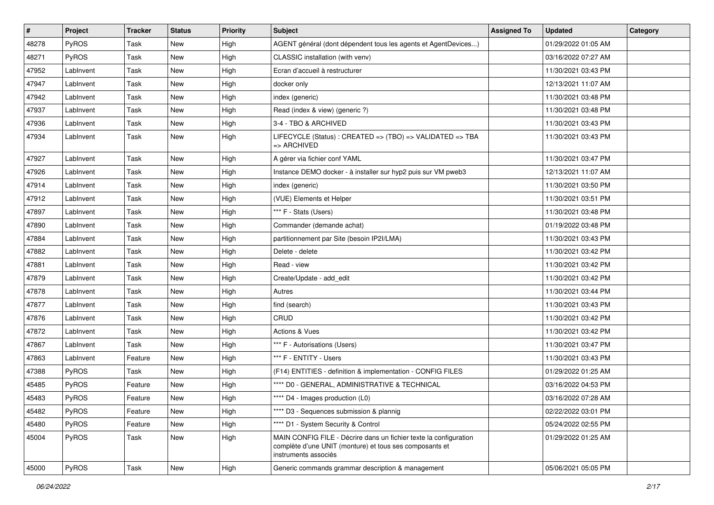| #     | Project      | <b>Tracker</b> | <b>Status</b> | <b>Priority</b> | <b>Subject</b>                                                                                                                                       | <b>Assigned To</b> | <b>Updated</b>      | Category |
|-------|--------------|----------------|---------------|-----------------|------------------------------------------------------------------------------------------------------------------------------------------------------|--------------------|---------------------|----------|
| 48278 | PyROS        | Task           | New           | High            | AGENT général (dont dépendent tous les agents et AgentDevices)                                                                                       |                    | 01/29/2022 01:05 AM |          |
| 48271 | <b>PyROS</b> | Task           | <b>New</b>    | High            | CLASSIC installation (with venv)                                                                                                                     |                    | 03/16/2022 07:27 AM |          |
| 47952 | LabInvent    | Task           | New           | High            | Ecran d'accueil à restructurer                                                                                                                       |                    | 11/30/2021 03:43 PM |          |
| 47947 | LabInvent    | Task           | New           | High            | docker only                                                                                                                                          |                    | 12/13/2021 11:07 AM |          |
| 47942 | LabInvent    | Task           | New           | High            | index (generic)                                                                                                                                      |                    | 11/30/2021 03:48 PM |          |
| 47937 | LabInvent    | Task           | <b>New</b>    | High            | Read (index & view) (generic ?)                                                                                                                      |                    | 11/30/2021 03:48 PM |          |
| 47936 | LabInvent    | Task           | <b>New</b>    | High            | 3-4 - TBO & ARCHIVED                                                                                                                                 |                    | 11/30/2021 03:43 PM |          |
| 47934 | LabInvent    | Task           | New           | High            | LIFECYCLE (Status): CREATED => (TBO) => VALIDATED => TBA<br>=> ARCHIVED                                                                              |                    | 11/30/2021 03:43 PM |          |
| 47927 | LabInvent    | Task           | <b>New</b>    | High            | A gérer via fichier conf YAML                                                                                                                        |                    | 11/30/2021 03:47 PM |          |
| 47926 | LabInvent    | Task           | New           | High            | Instance DEMO docker - à installer sur hyp2 puis sur VM pweb3                                                                                        |                    | 12/13/2021 11:07 AM |          |
| 47914 | LabInvent    | Task           | New           | High            | index (generic)                                                                                                                                      |                    | 11/30/2021 03:50 PM |          |
| 47912 | LabInvent    | Task           | New           | High            | (VUE) Elements et Helper                                                                                                                             |                    | 11/30/2021 03:51 PM |          |
| 47897 | LabInvent    | Task           | New           | High            | *** F - Stats (Users)                                                                                                                                |                    | 11/30/2021 03:48 PM |          |
| 47890 | LabInvent    | Task           | <b>New</b>    | High            | Commander (demande achat)                                                                                                                            |                    | 01/19/2022 03:48 PM |          |
| 47884 | LabInvent    | Task           | New           | High            | partitionnement par Site (besoin IP2I/LMA)                                                                                                           |                    | 11/30/2021 03:43 PM |          |
| 47882 | LabInvent    | Task           | New           | High            | Delete - delete                                                                                                                                      |                    | 11/30/2021 03:42 PM |          |
| 47881 | LabInvent    | Task           | New           | High            | Read - view                                                                                                                                          |                    | 11/30/2021 03:42 PM |          |
| 47879 | LabInvent    | Task           | <b>New</b>    | High            | Create/Update - add edit                                                                                                                             |                    | 11/30/2021 03:42 PM |          |
| 47878 | LabInvent    | Task           | <b>New</b>    | High            | Autres                                                                                                                                               |                    | 11/30/2021 03:44 PM |          |
| 47877 | LabInvent    | Task           | New           | High            | find (search)                                                                                                                                        |                    | 11/30/2021 03:43 PM |          |
| 47876 | LabInvent    | Task           | New           | High            | CRUD                                                                                                                                                 |                    | 11/30/2021 03:42 PM |          |
| 47872 | LabInvent    | Task           | New           | High            | <b>Actions &amp; Vues</b>                                                                                                                            |                    | 11/30/2021 03:42 PM |          |
| 47867 | LabInvent    | Task           | New           | High            | *** F - Autorisations (Users)                                                                                                                        |                    | 11/30/2021 03:47 PM |          |
| 47863 | LabInvent    | Feature        | <b>New</b>    | High            | *** F - ENTITY - Users                                                                                                                               |                    | 11/30/2021 03:43 PM |          |
| 47388 | <b>PyROS</b> | Task           | New           | High            | (F14) ENTITIES - definition & implementation - CONFIG FILES                                                                                          |                    | 01/29/2022 01:25 AM |          |
| 45485 | PyROS        | Feature        | New           | High            | **** D0 - GENERAL, ADMINISTRATIVE & TECHNICAL                                                                                                        |                    | 03/16/2022 04:53 PM |          |
| 45483 | PyROS        | Feature        | New           | High            | **** D4 - Images production (L0)                                                                                                                     |                    | 03/16/2022 07:28 AM |          |
| 45482 | PyROS        | Feature        | New           | High            | **** D3 - Sequences submission & plannig                                                                                                             |                    | 02/22/2022 03:01 PM |          |
| 45480 | PyROS        | Feature        | New           | High            | **** D1 - System Security & Control                                                                                                                  |                    | 05/24/2022 02:55 PM |          |
| 45004 | PyROS        | Task           | New           | High            | MAIN CONFIG FILE - Décrire dans un fichier texte la configuration<br>complète d'une UNIT (monture) et tous ses composants et<br>instruments associés |                    | 01/29/2022 01:25 AM |          |
| 45000 | PyROS        | Task           | New           | High            | Generic commands grammar description & management                                                                                                    |                    | 05/06/2021 05:05 PM |          |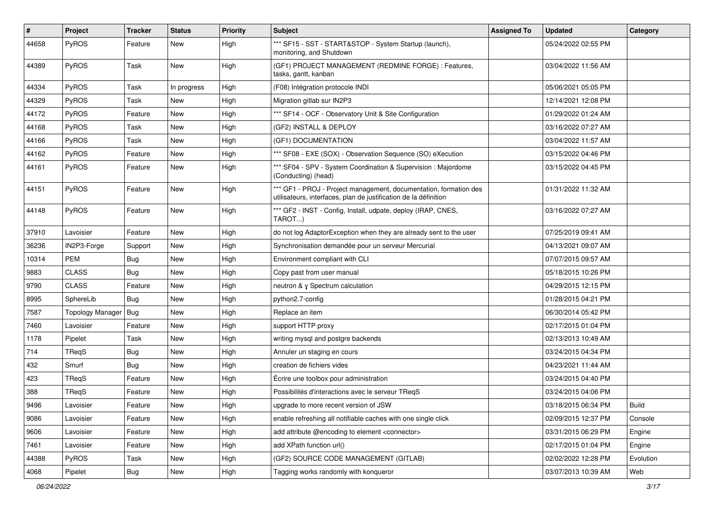| #     | Project                 | <b>Tracker</b> | <b>Status</b> | <b>Priority</b> | <b>Subject</b>                                                                                                                        | <b>Assigned To</b> | <b>Updated</b>      | Category     |
|-------|-------------------------|----------------|---------------|-----------------|---------------------------------------------------------------------------------------------------------------------------------------|--------------------|---------------------|--------------|
| 44658 | PyROS                   | Feature        | New           | High            | *** SF15 - SST - START&STOP - System Startup (launch),<br>monitoring, and Shutdown                                                    |                    | 05/24/2022 02:55 PM |              |
| 44389 | PyROS                   | Task           | New           | High            | (GF1) PROJECT MANAGEMENT (REDMINE FORGE) : Features,<br>tasks, gantt, kanban                                                          |                    | 03/04/2022 11:56 AM |              |
| 44334 | PyROS                   | Task           | In progress   | High            | (F08) Intégration protocole INDI                                                                                                      |                    | 05/06/2021 05:05 PM |              |
| 44329 | PyROS                   | Task           | New           | High            | Migration gitlab sur IN2P3                                                                                                            |                    | 12/14/2021 12:08 PM |              |
| 44172 | PyROS                   | Feature        | New           | High            | *** SF14 - OCF - Observatory Unit & Site Configuration                                                                                |                    | 01/29/2022 01:24 AM |              |
| 44168 | PyROS                   | Task           | New           | High            | (GF2) INSTALL & DEPLOY                                                                                                                |                    | 03/16/2022 07:27 AM |              |
| 44166 | PyROS                   | Task           | New           | High            | (GF1) DOCUMENTATION                                                                                                                   |                    | 03/04/2022 11:57 AM |              |
| 44162 | PyROS                   | Feature        | <b>New</b>    | High            | *** SF08 - EXE (SOX) - Observation Sequence (SO) eXecution                                                                            |                    | 03/15/2022 04:46 PM |              |
| 44161 | PyROS                   | Feature        | New           | High            | *** SF04 - SPV - System Coordination & Supervision : Majordome<br>(Conducting) (head)                                                 |                    | 03/15/2022 04:45 PM |              |
| 44151 | PyROS                   | Feature        | <b>New</b>    | High            | *** GF1 - PROJ - Project management, documentation, formation des<br>utilisateurs, interfaces, plan de justification de la définition |                    | 01/31/2022 11:32 AM |              |
| 44148 | PyROS                   | Feature        | <b>New</b>    | High            | *** GF2 - INST - Config, Install, udpate, deploy (IRAP, CNES,<br>TAROT)                                                               |                    | 03/16/2022 07:27 AM |              |
| 37910 | Lavoisier               | Feature        | New           | High            | do not log AdaptorException when they are already sent to the user                                                                    |                    | 07/25/2019 09:41 AM |              |
| 36236 | IN2P3-Forge             | Support        | <b>New</b>    | High            | Synchronisation demandée pour un serveur Mercurial                                                                                    |                    | 04/13/2021 09:07 AM |              |
| 10314 | PEM                     | <b>Bug</b>     | New           | High            | Environment compliant with CLI                                                                                                        |                    | 07/07/2015 09:57 AM |              |
| 9883  | <b>CLASS</b>            | Bug            | New           | High            | Copy past from user manual                                                                                                            |                    | 05/18/2015 10:26 PM |              |
| 9790  | <b>CLASS</b>            | Feature        | New           | High            | neutron & y Spectrum calculation                                                                                                      |                    | 04/29/2015 12:15 PM |              |
| 8995  | SphereLib               | <b>Bug</b>     | New           | High            | python2.7-config                                                                                                                      |                    | 01/28/2015 04:21 PM |              |
| 7587  | <b>Topology Manager</b> | Bug            | New           | High            | Replace an item                                                                                                                       |                    | 06/30/2014 05:42 PM |              |
| 7460  | Lavoisier               | Feature        | New           | High            | support HTTP proxy                                                                                                                    |                    | 02/17/2015 01:04 PM |              |
| 1178  | Pipelet                 | Task           | New           | High            | writing mysql and postgre backends                                                                                                    |                    | 02/13/2013 10:49 AM |              |
| 714   | TReqS                   | <b>Bug</b>     | New           | High            | Annuler un staging en cours                                                                                                           |                    | 03/24/2015 04:34 PM |              |
| 432   | Smurf                   | Bug            | New           | High            | creation de fichiers vides                                                                                                            |                    | 04/23/2021 11:44 AM |              |
| 423   | TReqS                   | Feature        | New           | High            | Écrire une toolbox pour administration                                                                                                |                    | 03/24/2015 04:40 PM |              |
| 388   | TReqS                   | Feature        | New           | High            | Possibilités d'interactions avec le serveur TReqS                                                                                     |                    | 03/24/2015 04:06 PM |              |
| 9496  | Lavoisier               | Feature        | New           | High            | upgrade to more recent version of JSW                                                                                                 |                    | 03/18/2015 06:34 PM | <b>Build</b> |
| 9086  | Lavoisier               | Feature        | New           | High            | enable refreshing all notifiable caches with one single click                                                                         |                    | 02/09/2015 12:37 PM | Console      |
| 9606  | Lavoisier               | Feature        | New           | High            | add attribute @encoding to element <connector></connector>                                                                            |                    | 03/31/2015 06:29 PM | Engine       |
| 7461  | Lavoisier               | Feature        | New           | High            | add XPath function url()                                                                                                              |                    | 02/17/2015 01:04 PM | Engine       |
| 44388 | PyROS                   | Task           | New           | High            | (GF2) SOURCE CODE MANAGEMENT (GITLAB)                                                                                                 |                    | 02/02/2022 12:28 PM | Evolution    |
| 4068  | Pipelet                 | Bug            | New           | High            | Tagging works randomly with konqueror                                                                                                 |                    | 03/07/2013 10:39 AM | Web          |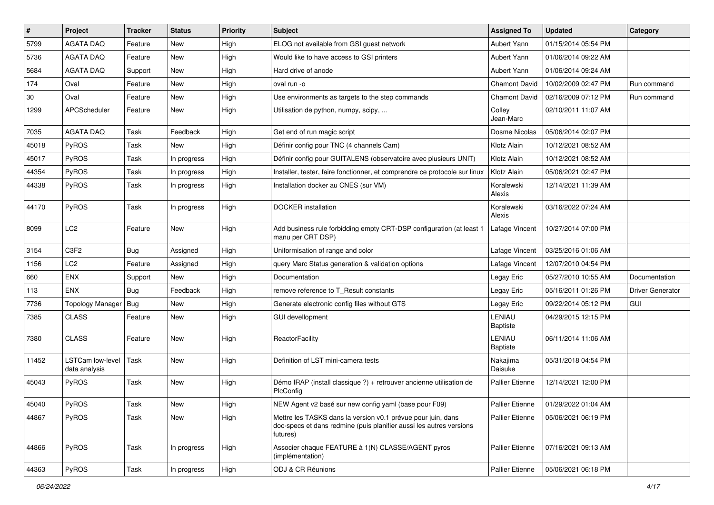| $\vert$ # | Project                                  | <b>Tracker</b> | <b>Status</b> | <b>Priority</b> | <b>Subject</b>                                                                                                                                  | <b>Assigned To</b>        | <b>Updated</b>      | Category                |
|-----------|------------------------------------------|----------------|---------------|-----------------|-------------------------------------------------------------------------------------------------------------------------------------------------|---------------------------|---------------------|-------------------------|
| 5799      | <b>AGATA DAQ</b>                         | Feature        | New           | High            | ELOG not available from GSI guest network                                                                                                       | Aubert Yann               | 01/15/2014 05:54 PM |                         |
| 5736      | <b>AGATA DAQ</b>                         | Feature        | <b>New</b>    | High            | Would like to have access to GSI printers                                                                                                       | Aubert Yann               | 01/06/2014 09:22 AM |                         |
| 5684      | <b>AGATA DAQ</b>                         | Support        | New           | High            | Hard drive of anode                                                                                                                             | Aubert Yann               | 01/06/2014 09:24 AM |                         |
| 174       | Oval                                     | Feature        | <b>New</b>    | High            | oval run -o                                                                                                                                     | <b>Chamont David</b>      | 10/02/2009 02:47 PM | Run command             |
| 30        | Oval                                     | Feature        | <b>New</b>    | High            | Use environments as targets to the step commands                                                                                                | <b>Chamont David</b>      | 02/16/2009 07:12 PM | Run command             |
| 1299      | <b>APCScheduler</b>                      | Feature        | <b>New</b>    | High            | Utilisation de python, numpy, scipy,                                                                                                            | Colley<br>Jean-Marc       | 02/10/2011 11:07 AM |                         |
| 7035      | <b>AGATA DAQ</b>                         | Task           | Feedback      | High            | Get end of run magic script                                                                                                                     | Dosme Nicolas             | 05/06/2014 02:07 PM |                         |
| 45018     | PyROS                                    | Task           | New           | High            | Définir config pour TNC (4 channels Cam)                                                                                                        | Klotz Alain               | 10/12/2021 08:52 AM |                         |
| 45017     | PyROS                                    | Task           | In progress   | High            | Définir config pour GUITALENS (observatoire avec plusieurs UNIT)                                                                                | Klotz Alain               | 10/12/2021 08:52 AM |                         |
| 44354     | PyROS                                    | Task           | In progress   | High            | Installer, tester, faire fonctionner, et comprendre ce protocole sur linux                                                                      | Klotz Alain               | 05/06/2021 02:47 PM |                         |
| 44338     | PyROS                                    | Task           | In progress   | High            | Installation docker au CNES (sur VM)                                                                                                            | Koralewski<br>Alexis      | 12/14/2021 11:39 AM |                         |
| 44170     | PyROS                                    | Task           | In progress   | High            | <b>DOCKER</b> installation                                                                                                                      | Koralewski<br>Alexis      | 03/16/2022 07:24 AM |                         |
| 8099      | LC <sub>2</sub>                          | Feature        | <b>New</b>    | High            | Add business rule forbidding empty CRT-DSP configuration (at least 1<br>manu per CRT DSP)                                                       | Lafage Vincent            | 10/27/2014 07:00 PM |                         |
| 3154      | C3F2                                     | Bug            | Assigned      | High            | Uniformisation of range and color                                                                                                               | Lafage Vincent            | 03/25/2016 01:06 AM |                         |
| 1156      | LC2                                      | Feature        | Assigned      | High            | query Marc Status generation & validation options                                                                                               | Lafage Vincent            | 12/07/2010 04:54 PM |                         |
| 660       | <b>ENX</b>                               | Support        | New           | High            | Documentation                                                                                                                                   | Legay Eric                | 05/27/2010 10:55 AM | Documentation           |
| 113       | <b>ENX</b>                               | Bug            | Feedback      | High            | remove reference to T Result constants                                                                                                          | Legay Eric                | 05/16/2011 01:26 PM | <b>Driver Generator</b> |
| 7736      | Topology Manager                         | Bug            | New           | High            | Generate electronic config files without GTS                                                                                                    | Legay Eric                | 09/22/2014 05:12 PM | <b>GUI</b>              |
| 7385      | <b>CLASS</b>                             | Feature        | New           | High            | <b>GUI devellopment</b>                                                                                                                         | LENIAU<br><b>Baptiste</b> | 04/29/2015 12:15 PM |                         |
| 7380      | <b>CLASS</b>                             | Feature        | New           | High            | ReactorFacility                                                                                                                                 | LENIAU<br><b>Baptiste</b> | 06/11/2014 11:06 AM |                         |
| 11452     | <b>LSTCam low-level</b><br>data analysis | Task           | <b>New</b>    | High            | Definition of LST mini-camera tests                                                                                                             | Nakajima<br>Daisuke       | 05/31/2018 04:54 PM |                         |
| 45043     | PyROS                                    | Task           | <b>New</b>    | High            | Démo IRAP (install classique ?) + retrouver ancienne utilisation de<br>PlcConfig                                                                | <b>Pallier Etienne</b>    | 12/14/2021 12:00 PM |                         |
| 45040     | PyROS                                    | Task           | New           | High            | NEW Agent v2 basé sur new config yaml (base pour F09)                                                                                           | Pallier Etienne           | 01/29/2022 01:04 AM |                         |
| 44867     | PyROS                                    | Task           | New           | High            | Mettre les TASKS dans la version v0.1 prévue pour juin, dans<br>doc-specs et dans redmine (puis planifier aussi les autres versions<br>futures) | Pallier Etienne           | 05/06/2021 06:19 PM |                         |
| 44866     | PyROS                                    | Task           | In progress   | High            | Associer chaque FEATURE à 1(N) CLASSE/AGENT pyros<br>(implémentation)                                                                           | Pallier Etienne           | 07/16/2021 09:13 AM |                         |
| 44363     | PyROS                                    | Task           | In progress   | High            | ODJ & CR Réunions                                                                                                                               | Pallier Etienne           | 05/06/2021 06:18 PM |                         |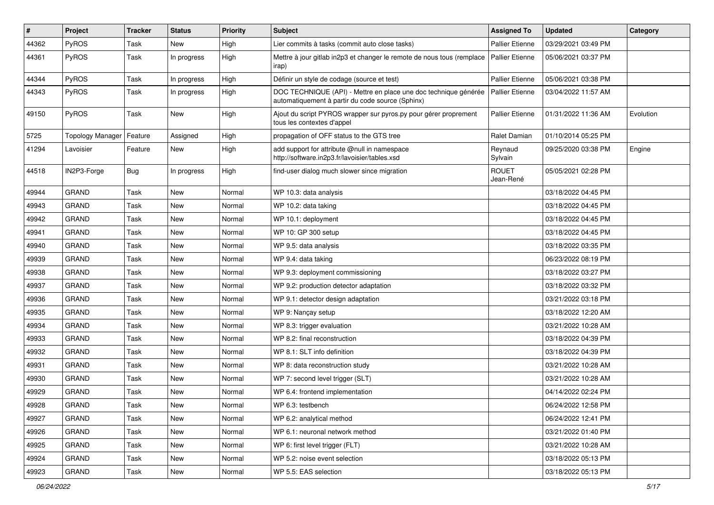| $\sharp$ | Project                 | <b>Tracker</b> | <b>Status</b> | <b>Priority</b> | <b>Subject</b>                                                                                                      | <b>Assigned To</b>        | <b>Updated</b>      | Category  |
|----------|-------------------------|----------------|---------------|-----------------|---------------------------------------------------------------------------------------------------------------------|---------------------------|---------------------|-----------|
| 44362    | PyROS                   | Task           | New           | High            | Lier commits à tasks (commit auto close tasks)                                                                      | <b>Pallier Etienne</b>    | 03/29/2021 03:49 PM |           |
| 44361    | PyROS                   | Task           | In progress   | High            | Mettre à jour gitlab in2p3 et changer le remote de nous tous (remplace<br>irap)                                     | <b>Pallier Etienne</b>    | 05/06/2021 03:37 PM |           |
| 44344    | PyROS                   | Task           | In progress   | High            | Définir un style de codage (source et test)                                                                         | Pallier Etienne           | 05/06/2021 03:38 PM |           |
| 44343    | PyROS                   | Task           | In progress   | High            | DOC TECHNIQUE (API) - Mettre en place une doc technique générée<br>automatiquement à partir du code source (Sphinx) | <b>Pallier Etienne</b>    | 03/04/2022 11:57 AM |           |
| 49150    | PyROS                   | Task           | New           | High            | Ajout du script PYROS wrapper sur pyros.py pour gérer proprement<br>tous les contextes d'appel                      | Pallier Etienne           | 01/31/2022 11:36 AM | Evolution |
| 5725     | <b>Topology Manager</b> | Feature        | Assigned      | High            | propagation of OFF status to the GTS tree                                                                           | Ralet Damian              | 01/10/2014 05:25 PM |           |
| 41294    | Lavoisier               | Feature        | <b>New</b>    | High            | add support for attribute @null in namespace<br>http://software.in2p3.fr/lavoisier/tables.xsd                       | Reynaud<br>Sylvain        | 09/25/2020 03:38 PM | Engine    |
| 44518    | IN2P3-Forge             | <b>Bug</b>     | In progress   | High            | find-user dialog much slower since migration                                                                        | <b>ROUET</b><br>Jean-René | 05/05/2021 02:28 PM |           |
| 49944    | <b>GRAND</b>            | Task           | New           | Normal          | WP 10.3: data analysis                                                                                              |                           | 03/18/2022 04:45 PM |           |
| 49943    | <b>GRAND</b>            | Task           | New           | Normal          | WP 10.2: data taking                                                                                                |                           | 03/18/2022 04:45 PM |           |
| 49942    | <b>GRAND</b>            | Task           | New           | Normal          | WP 10.1: deployment                                                                                                 |                           | 03/18/2022 04:45 PM |           |
| 49941    | <b>GRAND</b>            | Task           | New           | Normal          | WP 10: GP 300 setup                                                                                                 |                           | 03/18/2022 04:45 PM |           |
| 49940    | <b>GRAND</b>            | Task           | New           | Normal          | WP 9.5: data analysis                                                                                               |                           | 03/18/2022 03:35 PM |           |
| 49939    | <b>GRAND</b>            | Task           | New           | Normal          | WP 9.4: data taking                                                                                                 |                           | 06/23/2022 08:19 PM |           |
| 49938    | <b>GRAND</b>            | Task           | New           | Normal          | WP 9.3: deployment commissioning                                                                                    |                           | 03/18/2022 03:27 PM |           |
| 49937    | <b>GRAND</b>            | Task           | <b>New</b>    | Normal          | WP 9.2: production detector adaptation                                                                              |                           | 03/18/2022 03:32 PM |           |
| 49936    | <b>GRAND</b>            | Task           | New           | Normal          | WP 9.1: detector design adaptation                                                                                  |                           | 03/21/2022 03:18 PM |           |
| 49935    | <b>GRAND</b>            | Task           | New           | Normal          | WP 9: Nançay setup                                                                                                  |                           | 03/18/2022 12:20 AM |           |
| 49934    | <b>GRAND</b>            | Task           | New           | Normal          | WP 8.3: trigger evaluation                                                                                          |                           | 03/21/2022 10:28 AM |           |
| 49933    | <b>GRAND</b>            | Task           | New           | Normal          | WP 8.2: final reconstruction                                                                                        |                           | 03/18/2022 04:39 PM |           |
| 49932    | <b>GRAND</b>            | Task           | New           | Normal          | WP 8.1: SLT info definition                                                                                         |                           | 03/18/2022 04:39 PM |           |
| 49931    | GRAND                   | Task           | New           | Normal          | WP 8: data reconstruction study                                                                                     |                           | 03/21/2022 10:28 AM |           |
| 49930    | <b>GRAND</b>            | Task           | New           | Normal          | WP 7: second level trigger (SLT)                                                                                    |                           | 03/21/2022 10:28 AM |           |
| 49929    | <b>GRAND</b>            | Task           | New           | Normal          | WP 6.4: frontend implementation                                                                                     |                           | 04/14/2022 02:24 PM |           |
| 49928    | GRAND                   | Task           | New           | Normal          | WP 6.3: testbench                                                                                                   |                           | 06/24/2022 12:58 PM |           |
| 49927    | <b>GRAND</b>            | Task           | New           | Normal          | WP 6.2: analytical method                                                                                           |                           | 06/24/2022 12:41 PM |           |
| 49926    | GRAND                   | Task           | New           | Normal          | WP 6.1: neuronal network method                                                                                     |                           | 03/21/2022 01:40 PM |           |
| 49925    | <b>GRAND</b>            | Task           | New           | Normal          | WP 6: first level trigger (FLT)                                                                                     |                           | 03/21/2022 10:28 AM |           |
| 49924    | GRAND                   | Task           | New           | Normal          | WP 5.2: noise event selection                                                                                       |                           | 03/18/2022 05:13 PM |           |
| 49923    | GRAND                   | Task           | New           | Normal          | WP 5.5: EAS selection                                                                                               |                           | 03/18/2022 05:13 PM |           |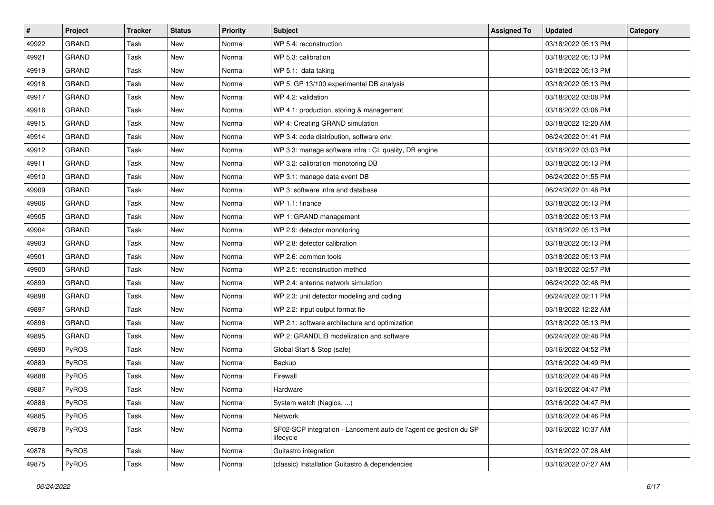| #     | Project      | <b>Tracker</b> | <b>Status</b> | Priority | Subject                                                                        | <b>Assigned To</b> | <b>Updated</b>      | Category |
|-------|--------------|----------------|---------------|----------|--------------------------------------------------------------------------------|--------------------|---------------------|----------|
| 49922 | <b>GRAND</b> | Task           | <b>New</b>    | Normal   | WP 5.4: reconstruction                                                         |                    | 03/18/2022 05:13 PM |          |
| 49921 | GRAND        | Task           | New           | Normal   | WP 5.3: calibration                                                            |                    | 03/18/2022 05:13 PM |          |
| 49919 | <b>GRAND</b> | Task           | New           | Normal   | WP 5.1: data taking                                                            |                    | 03/18/2022 05:13 PM |          |
| 49918 | <b>GRAND</b> | Task           | New           | Normal   | WP 5: GP 13/100 experimental DB analysis                                       |                    | 03/18/2022 05:13 PM |          |
| 49917 | <b>GRAND</b> | Task           | New           | Normal   | WP 4.2: validation                                                             |                    | 03/18/2022 03:08 PM |          |
| 49916 | <b>GRAND</b> | Task           | New           | Normal   | WP 4.1: production, storing & management                                       |                    | 03/18/2022 03:06 PM |          |
| 49915 | <b>GRAND</b> | Task           | <b>New</b>    | Normal   | WP 4: Creating GRAND simulation                                                |                    | 03/18/2022 12:20 AM |          |
| 49914 | <b>GRAND</b> | Task           | New           | Normal   | WP 3.4: code distribution, software env.                                       |                    | 06/24/2022 01:41 PM |          |
| 49912 | <b>GRAND</b> | Task           | New           | Normal   | WP 3.3: manage software infra : CI, quality, DB engine                         |                    | 03/18/2022 03:03 PM |          |
| 49911 | <b>GRAND</b> | Task           | New           | Normal   | WP 3.2: calibration monotoring DB                                              |                    | 03/18/2022 05:13 PM |          |
| 49910 | <b>GRAND</b> | Task           | New           | Normal   | WP 3.1: manage data event DB                                                   |                    | 06/24/2022 01:55 PM |          |
| 49909 | GRAND        | Task           | <b>New</b>    | Normal   | WP 3: software infra and database                                              |                    | 06/24/2022 01:48 PM |          |
| 49906 | <b>GRAND</b> | Task           | New           | Normal   | WP 1.1: finance                                                                |                    | 03/18/2022 05:13 PM |          |
| 49905 | <b>GRAND</b> | Task           | New           | Normal   | WP 1: GRAND management                                                         |                    | 03/18/2022 05:13 PM |          |
| 49904 | GRAND        | Task           | New           | Normal   | WP 2.9: detector monotoring                                                    |                    | 03/18/2022 05:13 PM |          |
| 49903 | <b>GRAND</b> | Task           | New           | Normal   | WP 2.8: detector calibration                                                   |                    | 03/18/2022 05:13 PM |          |
| 49901 | <b>GRAND</b> | Task           | New           | Normal   | WP 2.6: common tools                                                           |                    | 03/18/2022 05:13 PM |          |
| 49900 | <b>GRAND</b> | Task           | New           | Normal   | WP 2.5: reconstruction method                                                  |                    | 03/18/2022 02:57 PM |          |
| 49899 | <b>GRAND</b> | Task           | New           | Normal   | WP 2.4: antenna network simulation                                             |                    | 06/24/2022 02:48 PM |          |
| 49898 | <b>GRAND</b> | Task           | New           | Normal   | WP 2.3: unit detector modeling and coding                                      |                    | 06/24/2022 02:11 PM |          |
| 49897 | <b>GRAND</b> | Task           | New           | Normal   | WP 2.2: input output format fie                                                |                    | 03/18/2022 12:22 AM |          |
| 49896 | <b>GRAND</b> | Task           | New           | Normal   | WP 2.1: software architecture and optimization                                 |                    | 03/18/2022 05:13 PM |          |
| 49895 | <b>GRAND</b> | Task           | New           | Normal   | WP 2: GRANDLIB modelization and software                                       |                    | 06/24/2022 02:48 PM |          |
| 49890 | <b>PyROS</b> | Task           | New           | Normal   | Global Start & Stop (safe)                                                     |                    | 03/16/2022 04:52 PM |          |
| 49889 | PyROS        | Task           | <b>New</b>    | Normal   | Backup                                                                         |                    | 03/16/2022 04:49 PM |          |
| 49888 | PyROS        | Task           | New           | Normal   | Firewall                                                                       |                    | 03/16/2022 04:48 PM |          |
| 49887 | PyROS        | Task           | New           | Normal   | Hardware                                                                       |                    | 03/16/2022 04:47 PM |          |
| 49886 | PyROS        | Task           | New           | Normal   | System watch (Nagios, )                                                        |                    | 03/16/2022 04:47 PM |          |
| 49885 | PyROS        | Task           | New           | Normal   | Network                                                                        |                    | 03/16/2022 04:46 PM |          |
| 49878 | PyROS        | Task           | New           | Normal   | SF02-SCP integration - Lancement auto de l'agent de gestion du SP<br>lifecycle |                    | 03/16/2022 10:37 AM |          |
| 49876 | PyROS        | Task           | New           | Normal   | Guitastro integration                                                          |                    | 03/16/2022 07:28 AM |          |
| 49875 | PyROS        | Task           | New           | Normal   | (classic) Installation Guitastro & dependencies                                |                    | 03/16/2022 07:27 AM |          |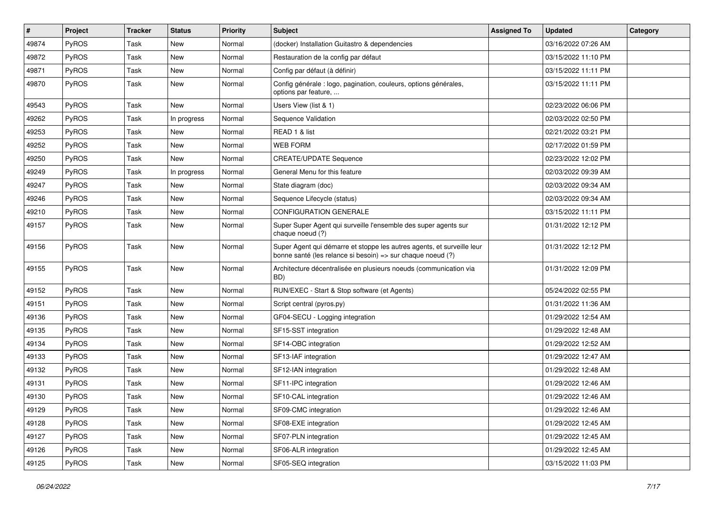| #     | Project      | <b>Tracker</b> | <b>Status</b> | <b>Priority</b> | Subject                                                                                                                               | <b>Assigned To</b> | <b>Updated</b>      | Category |
|-------|--------------|----------------|---------------|-----------------|---------------------------------------------------------------------------------------------------------------------------------------|--------------------|---------------------|----------|
| 49874 | PyROS        | Task           | New           | Normal          | (docker) Installation Guitastro & dependencies                                                                                        |                    | 03/16/2022 07:26 AM |          |
| 49872 | PyROS        | Task           | New           | Normal          | Restauration de la config par défaut                                                                                                  |                    | 03/15/2022 11:10 PM |          |
| 49871 | <b>PyROS</b> | Task           | New           | Normal          | Config par défaut (à définir)                                                                                                         |                    | 03/15/2022 11:11 PM |          |
| 49870 | PyROS        | Task           | New           | Normal          | Config générale : logo, pagination, couleurs, options générales,<br>options par feature,                                              |                    | 03/15/2022 11:11 PM |          |
| 49543 | PyROS        | Task           | New           | Normal          | Users View (list & 1)                                                                                                                 |                    | 02/23/2022 06:06 PM |          |
| 49262 | PyROS        | Task           | In progress   | Normal          | Sequence Validation                                                                                                                   |                    | 02/03/2022 02:50 PM |          |
| 49253 | PyROS        | Task           | New           | Normal          | READ 1 & list                                                                                                                         |                    | 02/21/2022 03:21 PM |          |
| 49252 | PyROS        | Task           | New           | Normal          | <b>WEB FORM</b>                                                                                                                       |                    | 02/17/2022 01:59 PM |          |
| 49250 | PyROS        | Task           | <b>New</b>    | Normal          | <b>CREATE/UPDATE Sequence</b>                                                                                                         |                    | 02/23/2022 12:02 PM |          |
| 49249 | <b>PyROS</b> | Task           | In progress   | Normal          | General Menu for this feature                                                                                                         |                    | 02/03/2022 09:39 AM |          |
| 49247 | PyROS        | Task           | <b>New</b>    | Normal          | State diagram (doc)                                                                                                                   |                    | 02/03/2022 09:34 AM |          |
| 49246 | PyROS        | Task           | New           | Normal          | Sequence Lifecycle (status)                                                                                                           |                    | 02/03/2022 09:34 AM |          |
| 49210 | PyROS        | Task           | New           | Normal          | <b>CONFIGURATION GENERALE</b>                                                                                                         |                    | 03/15/2022 11:11 PM |          |
| 49157 | PyROS        | Task           | New           | Normal          | Super Super Agent qui surveille l'ensemble des super agents sur<br>chaque noeud (?)                                                   |                    | 01/31/2022 12:12 PM |          |
| 49156 | PyROS        | Task           | New           | Normal          | Super Agent qui démarre et stoppe les autres agents, et surveille leur<br>bonne santé (les relance si besoin) => sur chaque noeud (?) |                    | 01/31/2022 12:12 PM |          |
| 49155 | PyROS        | Task           | New           | Normal          | Architecture décentralisée en plusieurs noeuds (communication via<br>BD)                                                              |                    | 01/31/2022 12:09 PM |          |
| 49152 | PyROS        | Task           | New           | Normal          | RUN/EXEC - Start & Stop software (et Agents)                                                                                          |                    | 05/24/2022 02:55 PM |          |
| 49151 | <b>PyROS</b> | Task           | New           | Normal          | Script central (pyros.py)                                                                                                             |                    | 01/31/2022 11:36 AM |          |
| 49136 | PyROS        | Task           | New           | Normal          | GF04-SECU - Logging integration                                                                                                       |                    | 01/29/2022 12:54 AM |          |
| 49135 | PyROS        | Task           | New           | Normal          | SF15-SST integration                                                                                                                  |                    | 01/29/2022 12:48 AM |          |
| 49134 | PyROS        | Task           | New           | Normal          | SF14-OBC integration                                                                                                                  |                    | 01/29/2022 12:52 AM |          |
| 49133 | PyROS        | Task           | <b>New</b>    | Normal          | SF13-IAF integration                                                                                                                  |                    | 01/29/2022 12:47 AM |          |
| 49132 | <b>PyROS</b> | Task           | New           | Normal          | SF12-IAN integration                                                                                                                  |                    | 01/29/2022 12:48 AM |          |
| 49131 | PyROS        | Task           | New           | Normal          | SF11-IPC integration                                                                                                                  |                    | 01/29/2022 12:46 AM |          |
| 49130 | PyROS        | Task           | New           | Normal          | SF10-CAL integration                                                                                                                  |                    | 01/29/2022 12:46 AM |          |
| 49129 | PyROS        | Task           | New           | Normal          | SF09-CMC integration                                                                                                                  |                    | 01/29/2022 12:46 AM |          |
| 49128 | PyROS        | Task           | New           | Normal          | SF08-EXE integration                                                                                                                  |                    | 01/29/2022 12:45 AM |          |
| 49127 | PyROS        | Task           | New           | Normal          | SF07-PLN integration                                                                                                                  |                    | 01/29/2022 12:45 AM |          |
| 49126 | PyROS        | Task           | New           | Normal          | SF06-ALR integration                                                                                                                  |                    | 01/29/2022 12:45 AM |          |
| 49125 | PyROS        | Task           | New           | Normal          | SF05-SEQ integration                                                                                                                  |                    | 03/15/2022 11:03 PM |          |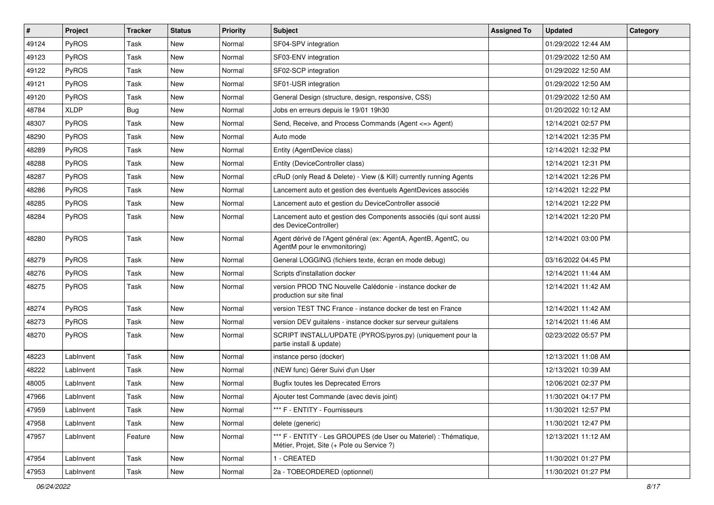| $\vert$ # | Project      | <b>Tracker</b> | <b>Status</b> | <b>Priority</b> | Subject                                                                                                        | <b>Assigned To</b> | <b>Updated</b>      | Category |
|-----------|--------------|----------------|---------------|-----------------|----------------------------------------------------------------------------------------------------------------|--------------------|---------------------|----------|
| 49124     | <b>PyROS</b> | Task           | New           | Normal          | SF04-SPV integration                                                                                           |                    | 01/29/2022 12:44 AM |          |
| 49123     | PyROS        | Task           | New           | Normal          | SF03-ENV integration                                                                                           |                    | 01/29/2022 12:50 AM |          |
| 49122     | <b>PyROS</b> | Task           | New           | Normal          | SF02-SCP integration                                                                                           |                    | 01/29/2022 12:50 AM |          |
| 49121     | PyROS        | Task           | New           | Normal          | SF01-USR integration                                                                                           |                    | 01/29/2022 12:50 AM |          |
| 49120     | PyROS        | Task           | New           | Normal          | General Design (structure, design, responsive, CSS)                                                            |                    | 01/29/2022 12:50 AM |          |
| 48784     | <b>XLDP</b>  | Bug            | New           | Normal          | Jobs en erreurs depuis le 19/01 19h30                                                                          |                    | 01/20/2022 10:12 AM |          |
| 48307     | PyROS        | Task           | <b>New</b>    | Normal          | Send, Receive, and Process Commands (Agent <= > Agent)                                                         |                    | 12/14/2021 02:57 PM |          |
| 48290     | PyROS        | Task           | New           | Normal          | Auto mode                                                                                                      |                    | 12/14/2021 12:35 PM |          |
| 48289     | PyROS        | Task           | New           | Normal          | Entity (AgentDevice class)                                                                                     |                    | 12/14/2021 12:32 PM |          |
| 48288     | PyROS        | Task           | <b>New</b>    | Normal          | Entity (DeviceController class)                                                                                |                    | 12/14/2021 12:31 PM |          |
| 48287     | <b>PyROS</b> | Task           | New           | Normal          | cRuD (only Read & Delete) - View (& Kill) currently running Agents                                             |                    | 12/14/2021 12:26 PM |          |
| 48286     | PyROS        | Task           | <b>New</b>    | Normal          | Lancement auto et gestion des éventuels AgentDevices associés                                                  |                    | 12/14/2021 12:22 PM |          |
| 48285     | PyROS        | Task           | New           | Normal          | Lancement auto et gestion du DeviceController associé                                                          |                    | 12/14/2021 12:22 PM |          |
| 48284     | PyROS        | Task           | New           | Normal          | Lancement auto et gestion des Components associés (qui sont aussi<br>des DeviceController)                     |                    | 12/14/2021 12:20 PM |          |
| 48280     | PyROS        | Task           | <b>New</b>    | Normal          | Agent dérivé de l'Agent général (ex: AgentA, AgentB, AgentC, ou<br>AgentM pour le envmonitoring)               |                    | 12/14/2021 03:00 PM |          |
| 48279     | PyROS        | Task           | <b>New</b>    | Normal          | General LOGGING (fichiers texte, écran en mode debug)                                                          |                    | 03/16/2022 04:45 PM |          |
| 48276     | <b>PyROS</b> | Task           | New           | Normal          | Scripts d'installation docker                                                                                  |                    | 12/14/2021 11:44 AM |          |
| 48275     | PyROS        | Task           | New           | Normal          | version PROD TNC Nouvelle Calédonie - instance docker de<br>production sur site final                          |                    | 12/14/2021 11:42 AM |          |
| 48274     | PyROS        | Task           | <b>New</b>    | Normal          | version TEST TNC France - instance docker de test en France                                                    |                    | 12/14/2021 11:42 AM |          |
| 48273     | PyROS        | Task           | New           | Normal          | version DEV guitalens - instance docker sur serveur guitalens                                                  |                    | 12/14/2021 11:46 AM |          |
| 48270     | <b>PyROS</b> | Task           | New           | Normal          | SCRIPT INSTALL/UPDATE (PYROS/pyros.py) (uniquement pour la<br>partie install & update)                         |                    | 02/23/2022 05:57 PM |          |
| 48223     | LabInvent    | Task           | <b>New</b>    | Normal          | instance perso (docker)                                                                                        |                    | 12/13/2021 11:08 AM |          |
| 48222     | LabInvent    | Task           | New           | Normal          | (NEW func) Gérer Suivi d'un User                                                                               |                    | 12/13/2021 10:39 AM |          |
| 48005     | LabInvent    | Task           | New           | Normal          | <b>Bugfix toutes les Deprecated Errors</b>                                                                     |                    | 12/06/2021 02:37 PM |          |
| 47966     | LabInvent    | Task           | New           | Normal          | Ajouter test Commande (avec devis joint)                                                                       |                    | 11/30/2021 04:17 PM |          |
| 47959     | LabInvent    | Task           | New           | Normal          | *** F - ENTITY - Fournisseurs                                                                                  |                    | 11/30/2021 12:57 PM |          |
| 47958     | LabInvent    | Task           | New           | Normal          | delete (generic)                                                                                               |                    | 11/30/2021 12:47 PM |          |
| 47957     | LabInvent    | Feature        | New           | Normal          | *** F - ENTITY - Les GROUPES (de User ou Materiel) : Thématique,<br>Métier, Projet, Site (+ Pole ou Service ?) |                    | 12/13/2021 11:12 AM |          |
| 47954     | LabInvent    | Task           | New           | Normal          | 1 - CREATED                                                                                                    |                    | 11/30/2021 01:27 PM |          |
| 47953     | LabInvent    | Task           | New           | Normal          | 2a - TOBEORDERED (optionnel)                                                                                   |                    | 11/30/2021 01:27 PM |          |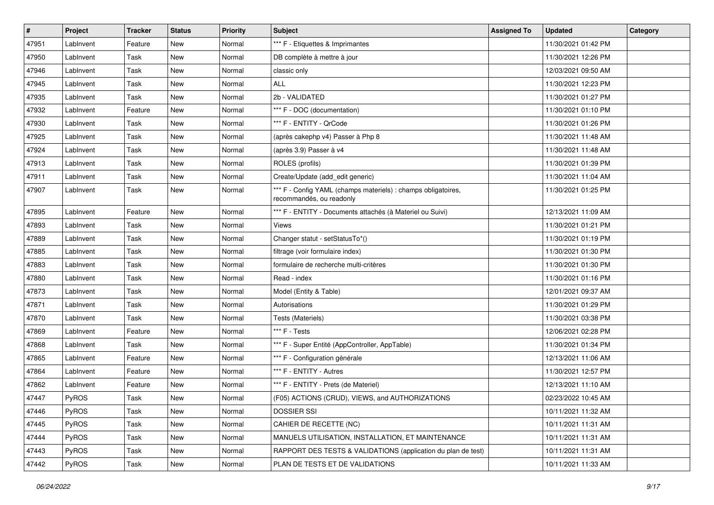| #     | Project      | <b>Tracker</b> | <b>Status</b> | <b>Priority</b> | Subject                                                                                   | <b>Assigned To</b> | <b>Updated</b>      | Category |
|-------|--------------|----------------|---------------|-----------------|-------------------------------------------------------------------------------------------|--------------------|---------------------|----------|
| 47951 | LabInvent    | Feature        | New           | Normal          | *** F - Etiquettes & Imprimantes                                                          |                    | 11/30/2021 01:42 PM |          |
| 47950 | LabInvent    | Task           | New           | Normal          | DB complète à mettre à jour                                                               |                    | 11/30/2021 12:26 PM |          |
| 47946 | LabInvent    | Task           | New           | Normal          | classic only                                                                              |                    | 12/03/2021 09:50 AM |          |
| 47945 | LabInvent    | Task           | New           | Normal          | <b>ALL</b>                                                                                |                    | 11/30/2021 12:23 PM |          |
| 47935 | LabInvent    | Task           | New           | Normal          | 2b - VALIDATED                                                                            |                    | 11/30/2021 01:27 PM |          |
| 47932 | LabInvent    | Feature        | New           | Normal          | *** F - DOC (documentation)                                                               |                    | 11/30/2021 01:10 PM |          |
| 47930 | LabInvent    | Task           | New           | Normal          | *** F - ENTITY - QrCode                                                                   |                    | 11/30/2021 01:26 PM |          |
| 47925 | LabInvent    | Task           | New           | Normal          | (après cakephp v4) Passer à Php 8                                                         |                    | 11/30/2021 11:48 AM |          |
| 47924 | LabInvent    | Task           | New           | Normal          | (après 3.9) Passer à v4                                                                   |                    | 11/30/2021 11:48 AM |          |
| 47913 | LabInvent    | Task           | New           | Normal          | ROLES (profils)                                                                           |                    | 11/30/2021 01:39 PM |          |
| 47911 | LabInvent    | Task           | New           | Normal          | Create/Update (add_edit generic)                                                          |                    | 11/30/2021 11:04 AM |          |
| 47907 | LabInvent    | Task           | New           | Normal          | *** F - Config YAML (champs materiels) : champs obligatoires,<br>recommandés, ou readonly |                    | 11/30/2021 01:25 PM |          |
| 47895 | LabInvent    | Feature        | New           | Normal          | *** F - ENTITY - Documents attachés (à Materiel ou Suivi)                                 |                    | 12/13/2021 11:09 AM |          |
| 47893 | LabInvent    | Task           | New           | Normal          | Views                                                                                     |                    | 11/30/2021 01:21 PM |          |
| 47889 | LabInvent    | Task           | New           | Normal          | Changer statut - setStatusTo*()                                                           |                    | 11/30/2021 01:19 PM |          |
| 47885 | LabInvent    | Task           | New           | Normal          | filtrage (voir formulaire index)                                                          |                    | 11/30/2021 01:30 PM |          |
| 47883 | LabInvent    | Task           | New           | Normal          | formulaire de recherche multi-critères                                                    |                    | 11/30/2021 01:30 PM |          |
| 47880 | LabInvent    | Task           | New           | Normal          | Read - index                                                                              |                    | 11/30/2021 01:16 PM |          |
| 47873 | LabInvent    | Task           | New           | Normal          | Model (Entity & Table)                                                                    |                    | 12/01/2021 09:37 AM |          |
| 47871 | LabInvent    | Task           | New           | Normal          | Autorisations                                                                             |                    | 11/30/2021 01:29 PM |          |
| 47870 | LabInvent    | Task           | New           | Normal          | Tests (Materiels)                                                                         |                    | 11/30/2021 03:38 PM |          |
| 47869 | LabInvent    | Feature        | New           | Normal          | *** F - Tests                                                                             |                    | 12/06/2021 02:28 PM |          |
| 47868 | LabInvent    | Task           | New           | Normal          | *** F - Super Entité (AppController, AppTable)                                            |                    | 11/30/2021 01:34 PM |          |
| 47865 | LabInvent    | Feature        | <b>New</b>    | Normal          | *** F - Configuration générale                                                            |                    | 12/13/2021 11:06 AM |          |
| 47864 | LabInvent    | Feature        | New           | Normal          | *** F - ENTITY - Autres                                                                   |                    | 11/30/2021 12:57 PM |          |
| 47862 | LabInvent    | Feature        | New           | Normal          | *** F - ENTITY - Prets (de Materiel)                                                      |                    | 12/13/2021 11:10 AM |          |
| 47447 | <b>PyROS</b> | Task           | New           | Normal          | (F05) ACTIONS (CRUD), VIEWS, and AUTHORIZATIONS                                           |                    | 02/23/2022 10:45 AM |          |
| 47446 | PyROS        | Task           | New           | Normal          | <b>DOSSIER SSI</b>                                                                        |                    | 10/11/2021 11:32 AM |          |
| 47445 | PyROS        | Task           | New           | Normal          | CAHIER DE RECETTE (NC)                                                                    |                    | 10/11/2021 11:31 AM |          |
| 47444 | PyROS        | Task           | New           | Normal          | MANUELS UTILISATION. INSTALLATION. ET MAINTENANCE                                         |                    | 10/11/2021 11:31 AM |          |
| 47443 | PyROS        | Task           | New           | Normal          | RAPPORT DES TESTS & VALIDATIONS (application du plan de test)                             |                    | 10/11/2021 11:31 AM |          |
| 47442 | PyROS        | Task           | New           | Normal          | PLAN DE TESTS ET DE VALIDATIONS                                                           |                    | 10/11/2021 11:33 AM |          |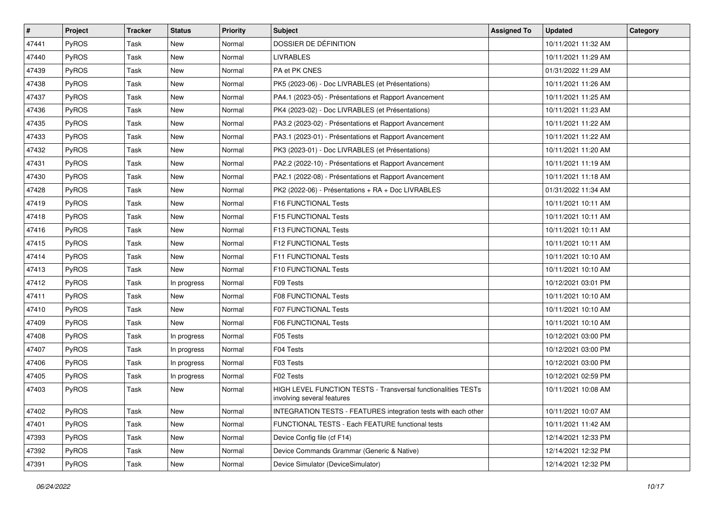| #     | Project      | <b>Tracker</b> | <b>Status</b> | <b>Priority</b> | <b>Subject</b>                                                                              | <b>Assigned To</b> | <b>Updated</b>      | Category |
|-------|--------------|----------------|---------------|-----------------|---------------------------------------------------------------------------------------------|--------------------|---------------------|----------|
| 47441 | <b>PyROS</b> | Task           | New           | Normal          | DOSSIER DE DÉFINITION                                                                       |                    | 10/11/2021 11:32 AM |          |
| 47440 | PyROS        | Task           | New           | Normal          | <b>LIVRABLES</b>                                                                            |                    | 10/11/2021 11:29 AM |          |
| 47439 | <b>PyROS</b> | Task           | New           | Normal          | PA et PK CNES                                                                               |                    | 01/31/2022 11:29 AM |          |
| 47438 | <b>PyROS</b> | Task           | <b>New</b>    | Normal          | PK5 (2023-06) - Doc LIVRABLES (et Présentations)                                            |                    | 10/11/2021 11:26 AM |          |
| 47437 | <b>PyROS</b> | Task           | New           | Normal          | PA4.1 (2023-05) - Présentations et Rapport Avancement                                       |                    | 10/11/2021 11:25 AM |          |
| 47436 | <b>PyROS</b> | Task           | <b>New</b>    | Normal          | PK4 (2023-02) - Doc LIVRABLES (et Présentations)                                            |                    | 10/11/2021 11:23 AM |          |
| 47435 | PyROS        | Task           | <b>New</b>    | Normal          | PA3.2 (2023-02) - Présentations et Rapport Avancement                                       |                    | 10/11/2021 11:22 AM |          |
| 47433 | <b>PyROS</b> | Task           | <b>New</b>    | Normal          | PA3.1 (2023-01) - Présentations et Rapport Avancement                                       |                    | 10/11/2021 11:22 AM |          |
| 47432 | PyROS        | Task           | New           | Normal          | PK3 (2023-01) - Doc LIVRABLES (et Présentations)                                            |                    | 10/11/2021 11:20 AM |          |
| 47431 | <b>PyROS</b> | Task           | <b>New</b>    | Normal          | PA2.2 (2022-10) - Présentations et Rapport Avancement                                       |                    | 10/11/2021 11:19 AM |          |
| 47430 | <b>PyROS</b> | Task           | <b>New</b>    | Normal          | PA2.1 (2022-08) - Présentations et Rapport Avancement                                       |                    | 10/11/2021 11:18 AM |          |
| 47428 | PyROS        | Task           | <b>New</b>    | Normal          | PK2 (2022-06) - Présentations + RA + Doc LIVRABLES                                          |                    | 01/31/2022 11:34 AM |          |
| 47419 | <b>PyROS</b> | Task           | New           | Normal          | F16 FUNCTIONAL Tests                                                                        |                    | 10/11/2021 10:11 AM |          |
| 47418 | PyROS        | Task           | New           | Normal          | F15 FUNCTIONAL Tests                                                                        |                    | 10/11/2021 10:11 AM |          |
| 47416 | <b>PyROS</b> | Task           | <b>New</b>    | Normal          | F13 FUNCTIONAL Tests                                                                        |                    | 10/11/2021 10:11 AM |          |
| 47415 | <b>PyROS</b> | Task           | New           | Normal          | F12 FUNCTIONAL Tests                                                                        |                    | 10/11/2021 10:11 AM |          |
| 47414 | PyROS        | Task           | <b>New</b>    | Normal          | F11 FUNCTIONAL Tests                                                                        |                    | 10/11/2021 10:10 AM |          |
| 47413 | <b>PyROS</b> | Task           | New           | Normal          | F10 FUNCTIONAL Tests                                                                        |                    | 10/11/2021 10:10 AM |          |
| 47412 | <b>PyROS</b> | Task           | In progress   | Normal          | F09 Tests                                                                                   |                    | 10/12/2021 03:01 PM |          |
| 47411 | PyROS        | Task           | <b>New</b>    | Normal          | <b>F08 FUNCTIONAL Tests</b>                                                                 |                    | 10/11/2021 10:10 AM |          |
| 47410 | <b>PyROS</b> | Task           | New           | Normal          | F07 FUNCTIONAL Tests                                                                        |                    | 10/11/2021 10:10 AM |          |
| 47409 | PyROS        | Task           | New           | Normal          | F06 FUNCTIONAL Tests                                                                        |                    | 10/11/2021 10:10 AM |          |
| 47408 | PyROS        | Task           | In progress   | Normal          | F05 Tests                                                                                   |                    | 10/12/2021 03:00 PM |          |
| 47407 | <b>PyROS</b> | Task           | In progress   | Normal          | F04 Tests                                                                                   |                    | 10/12/2021 03:00 PM |          |
| 47406 | PyROS        | Task           | In progress   | Normal          | F03 Tests                                                                                   |                    | 10/12/2021 03:00 PM |          |
| 47405 | <b>PyROS</b> | Task           | In progress   | Normal          | F02 Tests                                                                                   |                    | 10/12/2021 02:59 PM |          |
| 47403 | <b>PyROS</b> | Task           | New           | Normal          | HIGH LEVEL FUNCTION TESTS - Transversal functionalities TESTs<br>involving several features |                    | 10/11/2021 10:08 AM |          |
| 47402 | <b>PyROS</b> | Task           | New           | Normal          | INTEGRATION TESTS - FEATURES integration tests with each other                              |                    | 10/11/2021 10:07 AM |          |
| 47401 | PyROS        | Task           | <b>New</b>    | Normal          | FUNCTIONAL TESTS - Each FEATURE functional tests                                            |                    | 10/11/2021 11:42 AM |          |
| 47393 | PyROS        | Task           | New           | Normal          | Device Config file (cf F14)                                                                 |                    | 12/14/2021 12:33 PM |          |
| 47392 | PyROS        | Task           | New           | Normal          | Device Commands Grammar (Generic & Native)                                                  |                    | 12/14/2021 12:32 PM |          |
| 47391 | PyROS        | Task           | New           | Normal          | Device Simulator (DeviceSimulator)                                                          |                    | 12/14/2021 12:32 PM |          |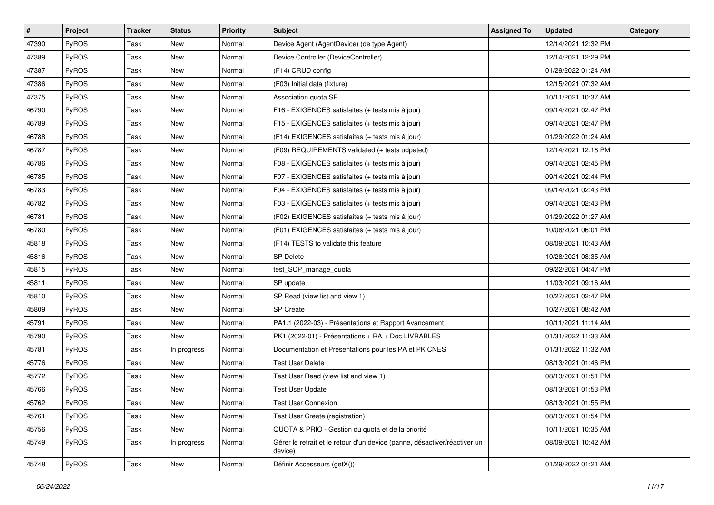| #     | Project      | <b>Tracker</b> | <b>Status</b> | <b>Priority</b> | Subject                                                                              | <b>Assigned To</b> | <b>Updated</b>      | Category |
|-------|--------------|----------------|---------------|-----------------|--------------------------------------------------------------------------------------|--------------------|---------------------|----------|
| 47390 | <b>PyROS</b> | Task           | New           | Normal          | Device Agent (AgentDevice) (de type Agent)                                           |                    | 12/14/2021 12:32 PM |          |
| 47389 | PyROS        | Task           | New           | Normal          | Device Controller (DeviceController)                                                 |                    | 12/14/2021 12:29 PM |          |
| 47387 | <b>PyROS</b> | Task           | New           | Normal          | (F14) CRUD config                                                                    |                    | 01/29/2022 01:24 AM |          |
| 47386 | PyROS        | Task           | New           | Normal          | (F03) Initial data (fixture)                                                         |                    | 12/15/2021 07:32 AM |          |
| 47375 | PyROS        | Task           | New           | Normal          | Association quota SP                                                                 |                    | 10/11/2021 10:37 AM |          |
| 46790 | <b>PyROS</b> | Task           | New           | Normal          | F16 - EXIGENCES satisfaites (+ tests mis à jour)                                     |                    | 09/14/2021 02:47 PM |          |
| 46789 | PyROS        | Task           | New           | Normal          | F15 - EXIGENCES satisfaites (+ tests mis à jour)                                     |                    | 09/14/2021 02:47 PM |          |
| 46788 | <b>PyROS</b> | Task           | New           | Normal          | (F14) EXIGENCES satisfaites (+ tests mis à jour)                                     |                    | 01/29/2022 01:24 AM |          |
| 46787 | PyROS        | Task           | New           | Normal          | (F09) REQUIREMENTS validated (+ tests udpated)                                       |                    | 12/14/2021 12:18 PM |          |
| 46786 | PyROS        | Task           | New           | Normal          | F08 - EXIGENCES satisfaites (+ tests mis à jour)                                     |                    | 09/14/2021 02:45 PM |          |
| 46785 | <b>PyROS</b> | Task           | New           | Normal          | F07 - EXIGENCES satisfaites (+ tests mis à jour)                                     |                    | 09/14/2021 02:44 PM |          |
| 46783 | PyROS        | Task           | New           | Normal          | F04 - EXIGENCES satisfaites (+ tests mis à jour)                                     |                    | 09/14/2021 02:43 PM |          |
| 46782 | PyROS        | Task           | New           | Normal          | F03 - EXIGENCES satisfaites (+ tests mis à jour)                                     |                    | 09/14/2021 02:43 PM |          |
| 46781 | PyROS        | Task           | New           | Normal          | (F02) EXIGENCES satisfaites (+ tests mis à jour)                                     |                    | 01/29/2022 01:27 AM |          |
| 46780 | PyROS        | Task           | New           | Normal          | (F01) EXIGENCES satisfaites (+ tests mis à jour)                                     |                    | 10/08/2021 06:01 PM |          |
| 45818 | <b>PyROS</b> | Task           | New           | Normal          | (F14) TESTS to validate this feature                                                 |                    | 08/09/2021 10:43 AM |          |
| 45816 | PyROS        | Task           | New           | Normal          | <b>SP Delete</b>                                                                     |                    | 10/28/2021 08:35 AM |          |
| 45815 | PyROS        | Task           | New           | Normal          | test_SCP_manage_quota                                                                |                    | 09/22/2021 04:47 PM |          |
| 45811 | PyROS        | Task           | New           | Normal          | SP update                                                                            |                    | 11/03/2021 09:16 AM |          |
| 45810 | PyROS        | Task           | New           | Normal          | SP Read (view list and view 1)                                                       |                    | 10/27/2021 02:47 PM |          |
| 45809 | PyROS        | Task           | New           | Normal          | <b>SP Create</b>                                                                     |                    | 10/27/2021 08:42 AM |          |
| 45791 | PyROS        | Task           | New           | Normal          | PA1.1 (2022-03) - Présentations et Rapport Avancement                                |                    | 10/11/2021 11:14 AM |          |
| 45790 | PyROS        | Task           | New           | Normal          | PK1 (2022-01) - Présentations + RA + Doc LIVRABLES                                   |                    | 01/31/2022 11:33 AM |          |
| 45781 | <b>PyROS</b> | Task           | In progress   | Normal          | Documentation et Présentations pour les PA et PK CNES                                |                    | 01/31/2022 11:32 AM |          |
| 45776 | PyROS        | Task           | New           | Normal          | <b>Test User Delete</b>                                                              |                    | 08/13/2021 01:46 PM |          |
| 45772 | PyROS        | Task           | New           | Normal          | Test User Read (view list and view 1)                                                |                    | 08/13/2021 01:51 PM |          |
| 45766 | PyROS        | Task           | New           | Normal          | <b>Test User Update</b>                                                              |                    | 08/13/2021 01:53 PM |          |
| 45762 | PyROS        | Task           | New           | Normal          | <b>Test User Connexion</b>                                                           |                    | 08/13/2021 01:55 PM |          |
| 45761 | PyROS        | Task           | New           | Normal          | Test User Create (registration)                                                      |                    | 08/13/2021 01:54 PM |          |
| 45756 | PyROS        | Task           | New           | Normal          | QUOTA & PRIO - Gestion du quota et de la priorité                                    |                    | 10/11/2021 10:35 AM |          |
| 45749 | PyROS        | Task           | In progress   | Normal          | Gérer le retrait et le retour d'un device (panne, désactiver/réactiver un<br>device) |                    | 08/09/2021 10:42 AM |          |
| 45748 | PyROS        | Task           | New           | Normal          | Définir Accesseurs (getX())                                                          |                    | 01/29/2022 01:21 AM |          |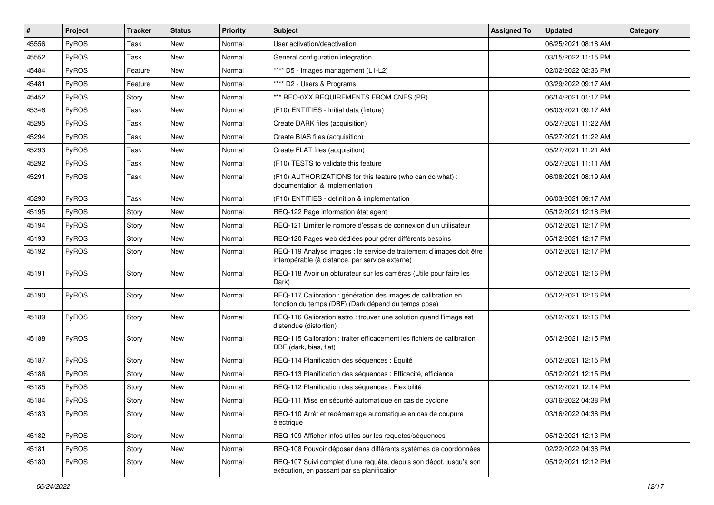| #     | Project      | <b>Tracker</b> | <b>Status</b> | <b>Priority</b> | Subject                                                                                                                 | <b>Assigned To</b> | <b>Updated</b>      | Category |
|-------|--------------|----------------|---------------|-----------------|-------------------------------------------------------------------------------------------------------------------------|--------------------|---------------------|----------|
| 45556 | PyROS        | Task           | <b>New</b>    | Normal          | User activation/deactivation                                                                                            |                    | 06/25/2021 08:18 AM |          |
| 45552 | PyROS        | Task           | New           | Normal          | General configuration integration                                                                                       |                    | 03/15/2022 11:15 PM |          |
| 45484 | <b>PyROS</b> | Feature        | <b>New</b>    | Normal          | **** D5 - Images management (L1-L2)                                                                                     |                    | 02/02/2022 02:36 PM |          |
| 45481 | PyROS        | Feature        | <b>New</b>    | Normal          | **** D2 - Users & Programs                                                                                              |                    | 03/29/2022 09:17 AM |          |
| 45452 | PyROS        | Story          | New           | Normal          | *** REQ-0XX REQUIREMENTS FROM CNES (PR)                                                                                 |                    | 06/14/2021 01:17 PM |          |
| 45346 | PyROS        | Task           | <b>New</b>    | Normal          | (F10) ENTITIES - Initial data (fixture)                                                                                 |                    | 06/03/2021 09:17 AM |          |
| 45295 | PyROS        | Task           | <b>New</b>    | Normal          | Create DARK files (acquisition)                                                                                         |                    | 05/27/2021 11:22 AM |          |
| 45294 | PyROS        | Task           | <b>New</b>    | Normal          | Create BIAS files (acquisition)                                                                                         |                    | 05/27/2021 11:22 AM |          |
| 45293 | PyROS        | Task           | <b>New</b>    | Normal          | Create FLAT files (acquisition)                                                                                         |                    | 05/27/2021 11:21 AM |          |
| 45292 | PyROS        | Task           | <b>New</b>    | Normal          | (F10) TESTS to validate this feature                                                                                    |                    | 05/27/2021 11:11 AM |          |
| 45291 | PyROS        | Task           | <b>New</b>    | Normal          | (F10) AUTHORIZATIONS for this feature (who can do what) :<br>documentation & implementation                             |                    | 06/08/2021 08:19 AM |          |
| 45290 | PyROS        | Task           | New           | Normal          | (F10) ENTITIES - definition & implementation                                                                            |                    | 06/03/2021 09:17 AM |          |
| 45195 | PyROS        | Story          | <b>New</b>    | Normal          | REQ-122 Page information état agent                                                                                     |                    | 05/12/2021 12:18 PM |          |
| 45194 | PyROS        | Story          | <b>New</b>    | Normal          | REQ-121 Limiter le nombre d'essais de connexion d'un utilisateur                                                        |                    | 05/12/2021 12:17 PM |          |
| 45193 | PyROS        | Story          | <b>New</b>    | Normal          | REQ-120 Pages web dédiées pour gérer différents besoins                                                                 |                    | 05/12/2021 12:17 PM |          |
| 45192 | PyROS        | Story          | <b>New</b>    | Normal          | REQ-119 Analyse images : le service de traitement d'images doit être<br>interopérable (à distance, par service externe) |                    | 05/12/2021 12:17 PM |          |
| 45191 | PyROS        | Story          | <b>New</b>    | Normal          | REQ-118 Avoir un obturateur sur les caméras (Utile pour faire les<br>Dark)                                              |                    | 05/12/2021 12:16 PM |          |
| 45190 | PyROS        | Story          | New           | Normal          | REQ-117 Calibration : génération des images de calibration en<br>fonction du temps (DBF) (Dark dépend du temps pose)    |                    | 05/12/2021 12:16 PM |          |
| 45189 | PyROS        | Story          | <b>New</b>    | Normal          | REQ-116 Calibration astro: trouver une solution quand l'image est<br>distendue (distortion)                             |                    | 05/12/2021 12:16 PM |          |
| 45188 | PyROS        | Story          | New           | Normal          | REQ-115 Calibration : traiter efficacement les fichiers de calibration<br>DBF (dark, bias, flat)                        |                    | 05/12/2021 12:15 PM |          |
| 45187 | PyROS        | Story          | New           | Normal          | REQ-114 Planification des séquences : Equité                                                                            |                    | 05/12/2021 12:15 PM |          |
| 45186 | PyROS        | Story          | <b>New</b>    | Normal          | REQ-113 Planification des séquences : Efficacité, efficience                                                            |                    | 05/12/2021 12:15 PM |          |
| 45185 | PyROS        | Story          | <b>New</b>    | Normal          | REQ-112 Planification des séquences : Flexibilité                                                                       |                    | 05/12/2021 12:14 PM |          |
| 45184 | <b>PyROS</b> | Story          | New           | Normal          | REQ-111 Mise en sécurité automatique en cas de cyclone                                                                  |                    | 03/16/2022 04:38 PM |          |
| 45183 | PyROS        | Story          | New           | Normal          | REQ-110 Arrêt et redémarrage automatique en cas de coupure<br>électrique                                                |                    | 03/16/2022 04:38 PM |          |
| 45182 | PyROS        | Story          | New           | Normal          | REQ-109 Afficher infos utiles sur les requetes/séquences                                                                |                    | 05/12/2021 12:13 PM |          |
| 45181 | PyROS        | Story          | New           | Normal          | REQ-108 Pouvoir déposer dans différents systèmes de coordonnées                                                         |                    | 02/22/2022 04:38 PM |          |
| 45180 | PyROS        | Story          | New           | Normal          | REQ-107 Suivi complet d'une requête, depuis son dépot, jusqu'à son<br>exécution, en passant par sa planification        |                    | 05/12/2021 12:12 PM |          |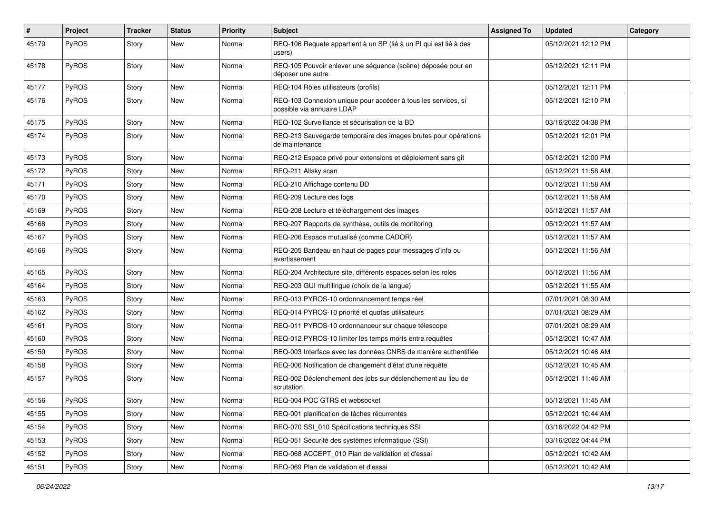| #     | Project      | <b>Tracker</b> | <b>Status</b> | Priority | <b>Subject</b>                                                                              | <b>Assigned To</b> | <b>Updated</b>      | Category |
|-------|--------------|----------------|---------------|----------|---------------------------------------------------------------------------------------------|--------------------|---------------------|----------|
| 45179 | PyROS        | Story          | New           | Normal   | REQ-106 Requete appartient à un SP (lié à un PI qui est lié à des<br>users)                 |                    | 05/12/2021 12:12 PM |          |
| 45178 | PyROS        | Story          | New           | Normal   | REQ-105 Pouvoir enlever une séquence (scène) déposée pour en<br>déposer une autre           |                    | 05/12/2021 12:11 PM |          |
| 45177 | PyROS        | Story          | <b>New</b>    | Normal   | REQ-104 Rôles utilisateurs (profils)                                                        |                    | 05/12/2021 12:11 PM |          |
| 45176 | PyROS        | Story          | New           | Normal   | REQ-103 Connexion unique pour accéder à tous les services, si<br>possible via annuaire LDAP |                    | 05/12/2021 12:10 PM |          |
| 45175 | PyROS        | Story          | New           | Normal   | REQ-102 Surveillance et sécurisation de la BD                                               |                    | 03/16/2022 04:38 PM |          |
| 45174 | PyROS        | Story          | New           | Normal   | REQ-213 Sauvegarde temporaire des images brutes pour opérations<br>de maintenance           |                    | 05/12/2021 12:01 PM |          |
| 45173 | PyROS        | Story          | <b>New</b>    | Normal   | REQ-212 Espace privé pour extensions et déploiement sans git                                |                    | 05/12/2021 12:00 PM |          |
| 45172 | PyROS        | Story          | New           | Normal   | REQ-211 Allsky scan                                                                         |                    | 05/12/2021 11:58 AM |          |
| 45171 | PyROS        | Story          | <b>New</b>    | Normal   | REQ-210 Affichage contenu BD                                                                |                    | 05/12/2021 11:58 AM |          |
| 45170 | PyROS        | Story          | New           | Normal   | REQ-209 Lecture des logs                                                                    |                    | 05/12/2021 11:58 AM |          |
| 45169 | PyROS        | Story          | <b>New</b>    | Normal   | REQ-208 Lecture et téléchargement des images                                                |                    | 05/12/2021 11:57 AM |          |
| 45168 | PyROS        | Story          | New           | Normal   | REQ-207 Rapports de synthèse, outils de monitoring                                          |                    | 05/12/2021 11:57 AM |          |
| 45167 | PyROS        | Story          | New           | Normal   | REQ-206 Espace mutualisé (comme CADOR)                                                      |                    | 05/12/2021 11:57 AM |          |
| 45166 | PyROS        | Story          | New           | Normal   | REQ-205 Bandeau en haut de pages pour messages d'info ou<br>avertissement                   |                    | 05/12/2021 11:56 AM |          |
| 45165 | PyROS        | Story          | New           | Normal   | REQ-204 Architecture site, différents espaces selon les roles                               |                    | 05/12/2021 11:56 AM |          |
| 45164 | PyROS        | Story          | <b>New</b>    | Normal   | REQ-203 GUI multilingue (choix de la langue)                                                |                    | 05/12/2021 11:55 AM |          |
| 45163 | PyROS        | Story          | New           | Normal   | REQ-013 PYROS-10 ordonnancement temps réel                                                  |                    | 07/01/2021 08:30 AM |          |
| 45162 | <b>PyROS</b> | Story          | <b>New</b>    | Normal   | REQ-014 PYROS-10 priorité et quotas utilisateurs                                            |                    | 07/01/2021 08:29 AM |          |
| 45161 | PyROS        | Story          | New           | Normal   | REQ-011 PYROS-10 ordonnanceur sur chaque télescope                                          |                    | 07/01/2021 08:29 AM |          |
| 45160 | PyROS        | Story          | New           | Normal   | REQ-012 PYROS-10 limiter les temps morts entre requêtes                                     |                    | 05/12/2021 10:47 AM |          |
| 45159 | PyROS        | Story          | New           | Normal   | REQ-003 Interface avec les données CNRS de manière authentifiée                             |                    | 05/12/2021 10:46 AM |          |
| 45158 | PyROS        | Story          | New           | Normal   | REQ-006 Notification de changement d'état d'une requête                                     |                    | 05/12/2021 10:45 AM |          |
| 45157 | PyROS        | Story          | <b>New</b>    | Normal   | REQ-002 Déclenchement des jobs sur déclenchement au lieu de<br>scrutation                   |                    | 05/12/2021 11:46 AM |          |
| 45156 | PyROS        | Story          | New           | Normal   | REQ-004 POC GTRS et websocket                                                               |                    | 05/12/2021 11:45 AM |          |
| 45155 | PyROS        | Story          | New           | Normal   | REQ-001 planification de tâches récurrentes                                                 |                    | 05/12/2021 10:44 AM |          |
| 45154 | PyROS        | Story          | New           | Normal   | REQ-070 SSI_010 Spécifications techniques SSI                                               |                    | 03/16/2022 04:42 PM |          |
| 45153 | PyROS        | Story          | New           | Normal   | REQ-051 Sécurité des systèmes informatique (SSI)                                            |                    | 03/16/2022 04:44 PM |          |
| 45152 | PyROS        | Story          | New           | Normal   | REQ-068 ACCEPT 010 Plan de validation et d'essai                                            |                    | 05/12/2021 10:42 AM |          |
| 45151 | PyROS        | Story          | New           | Normal   | REQ-069 Plan de validation et d'essai                                                       |                    | 05/12/2021 10:42 AM |          |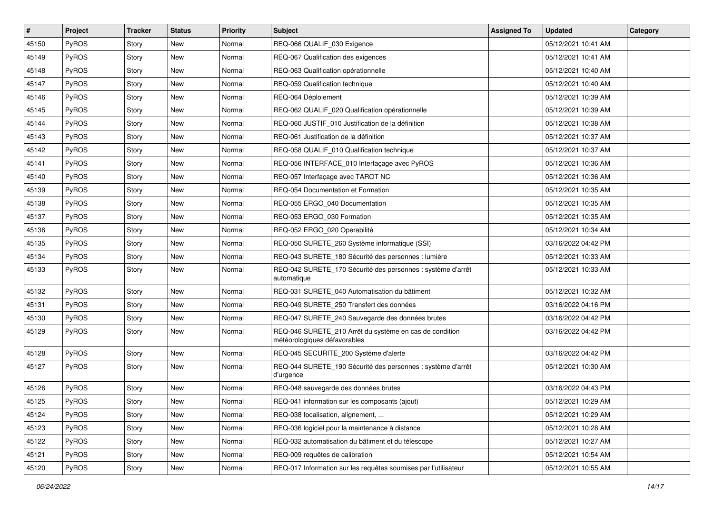| #     | Project      | <b>Tracker</b> | <b>Status</b> | <b>Priority</b> | Subject                                                                                 | <b>Assigned To</b> | <b>Updated</b>      | Category |
|-------|--------------|----------------|---------------|-----------------|-----------------------------------------------------------------------------------------|--------------------|---------------------|----------|
| 45150 | PyROS        | Story          | New           | Normal          | REQ-066 QUALIF_030 Exigence                                                             |                    | 05/12/2021 10:41 AM |          |
| 45149 | PyROS        | Story          | New           | Normal          | REQ-067 Qualification des exigences                                                     |                    | 05/12/2021 10:41 AM |          |
| 45148 | <b>PyROS</b> | Story          | New           | Normal          | REQ-063 Qualification opérationnelle                                                    |                    | 05/12/2021 10:40 AM |          |
| 45147 | PyROS        | Story          | New           | Normal          | REQ-059 Qualification technique                                                         |                    | 05/12/2021 10:40 AM |          |
| 45146 | PyROS        | Story          | New           | Normal          | REQ-064 Déploiement                                                                     |                    | 05/12/2021 10:39 AM |          |
| 45145 | <b>PyROS</b> | Story          | New           | Normal          | REQ-062 QUALIF_020 Qualification opérationnelle                                         |                    | 05/12/2021 10:39 AM |          |
| 45144 | PyROS        | Story          | New           | Normal          | REQ-060 JUSTIF_010 Justification de la définition                                       |                    | 05/12/2021 10:38 AM |          |
| 45143 | <b>PyROS</b> | Story          | New           | Normal          | REQ-061 Justification de la définition                                                  |                    | 05/12/2021 10:37 AM |          |
| 45142 | PyROS        | Story          | New           | Normal          | REQ-058 QUALIF_010 Qualification technique                                              |                    | 05/12/2021 10:37 AM |          |
| 45141 | PyROS        | Story          | <b>New</b>    | Normal          | REQ-056 INTERFACE_010 Interfaçage avec PyROS                                            |                    | 05/12/2021 10:36 AM |          |
| 45140 | <b>PyROS</b> | Story          | <b>New</b>    | Normal          | REQ-057 Interfaçage avec TAROT NC                                                       |                    | 05/12/2021 10:36 AM |          |
| 45139 | PyROS        | Story          | <b>New</b>    | Normal          | REQ-054 Documentation et Formation                                                      |                    | 05/12/2021 10:35 AM |          |
| 45138 | PyROS        | Story          | New           | Normal          | REQ-055 ERGO 040 Documentation                                                          |                    | 05/12/2021 10:35 AM |          |
| 45137 | PyROS        | Story          | New           | Normal          | REQ-053 ERGO 030 Formation                                                              |                    | 05/12/2021 10:35 AM |          |
| 45136 | PyROS        | Story          | <b>New</b>    | Normal          | REQ-052 ERGO_020 Operabilité                                                            |                    | 05/12/2021 10:34 AM |          |
| 45135 | <b>PyROS</b> | Story          | New           | Normal          | REQ-050 SURETE 260 Système informatique (SSI)                                           |                    | 03/16/2022 04:42 PM |          |
| 45134 | PyROS        | Story          | New           | Normal          | REQ-043 SURETE 180 Sécurité des personnes : lumière                                     |                    | 05/12/2021 10:33 AM |          |
| 45133 | <b>PyROS</b> | Story          | New           | Normal          | REQ-042 SURETE_170 Sécurité des personnes : système d'arrêt<br>automatique              |                    | 05/12/2021 10:33 AM |          |
| 45132 | PyROS        | Story          | <b>New</b>    | Normal          | REQ-031 SURETE_040 Automatisation du bâtiment                                           |                    | 05/12/2021 10:32 AM |          |
| 45131 | PyROS        | Story          | New           | Normal          | REQ-049 SURETE_250 Transfert des données                                                |                    | 03/16/2022 04:16 PM |          |
| 45130 | PyROS        | Story          | New           | Normal          | REQ-047 SURETE_240 Sauvegarde des données brutes                                        |                    | 03/16/2022 04:42 PM |          |
| 45129 | PyROS        | Story          | <b>New</b>    | Normal          | REQ-046 SURETE_210 Arrêt du système en cas de condition<br>météorologiques défavorables |                    | 03/16/2022 04:42 PM |          |
| 45128 | PyROS        | Story          | <b>New</b>    | Normal          | REQ-045 SECURITE 200 Système d'alerte                                                   |                    | 03/16/2022 04:42 PM |          |
| 45127 | <b>PyROS</b> | Story          | New           | Normal          | REQ-044 SURETE_190 Sécurité des personnes : système d'arrêt<br>d'urgence                |                    | 05/12/2021 10:30 AM |          |
| 45126 | PyROS        | Story          | New           | Normal          | REQ-048 sauvegarde des données brutes                                                   |                    | 03/16/2022 04:43 PM |          |
| 45125 | PyROS        | Story          | New           | Normal          | REQ-041 information sur les composants (ajout)                                          |                    | 05/12/2021 10:29 AM |          |
| 45124 | PyROS        | Story          | New           | Normal          | REQ-038 focalisation, alignement,                                                       |                    | 05/12/2021 10:29 AM |          |
| 45123 | PyROS        | Story          | New           | Normal          | REQ-036 logiciel pour la maintenance à distance                                         |                    | 05/12/2021 10:28 AM |          |
| 45122 | PyROS        | Story          | New           | Normal          | REQ-032 automatisation du bâtiment et du télescope                                      |                    | 05/12/2021 10:27 AM |          |
| 45121 | PyROS        | Story          | New           | Normal          | REQ-009 requêtes de calibration                                                         |                    | 05/12/2021 10:54 AM |          |
| 45120 | PyROS        | Story          | New           | Normal          | REQ-017 Information sur les requêtes soumises par l'utilisateur                         |                    | 05/12/2021 10:55 AM |          |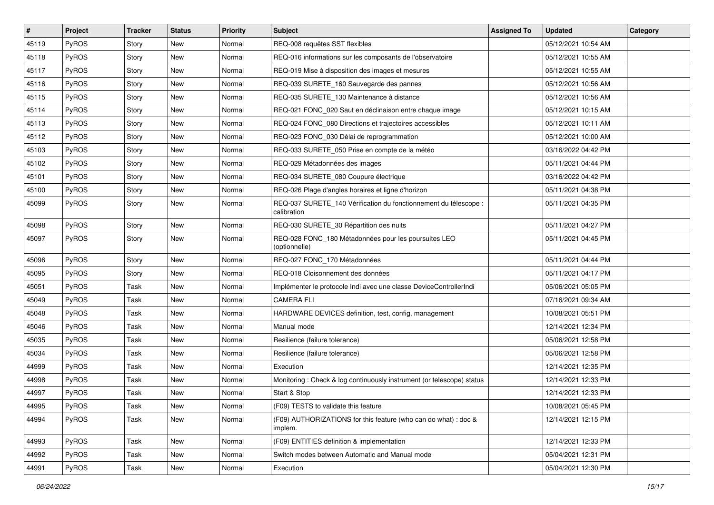| #     | Project      | <b>Tracker</b> | <b>Status</b> | Priority | <b>Subject</b>                                                                  | <b>Assigned To</b> | <b>Updated</b>      | Category |
|-------|--------------|----------------|---------------|----------|---------------------------------------------------------------------------------|--------------------|---------------------|----------|
| 45119 | PyROS        | Story          | New           | Normal   | REQ-008 requêtes SST flexibles                                                  |                    | 05/12/2021 10:54 AM |          |
| 45118 | PyROS        | Story          | <b>New</b>    | Normal   | REQ-016 informations sur les composants de l'observatoire                       |                    | 05/12/2021 10:55 AM |          |
| 45117 | PyROS        | Story          | New           | Normal   | REQ-019 Mise à disposition des images et mesures                                |                    | 05/12/2021 10:55 AM |          |
| 45116 | PyROS        | Story          | New           | Normal   | REQ-039 SURETE_160 Sauvegarde des pannes                                        |                    | 05/12/2021 10:56 AM |          |
| 45115 | PyROS        | Story          | New           | Normal   | REQ-035 SURETE_130 Maintenance à distance                                       |                    | 05/12/2021 10:56 AM |          |
| 45114 | PyROS        | Story          | New           | Normal   | REQ-021 FONC_020 Saut en déclinaison entre chaque image                         |                    | 05/12/2021 10:15 AM |          |
| 45113 | PyROS        | Story          | <b>New</b>    | Normal   | REQ-024 FONC_080 Directions et trajectoires accessibles                         |                    | 05/12/2021 10:11 AM |          |
| 45112 | PyROS        | Story          | New           | Normal   | REQ-023 FONC_030 Délai de reprogrammation                                       |                    | 05/12/2021 10:00 AM |          |
| 45103 | PyROS        | Story          | New           | Normal   | REQ-033 SURETE_050 Prise en compte de la météo                                  |                    | 03/16/2022 04:42 PM |          |
| 45102 | PyROS        | Story          | New           | Normal   | REQ-029 Métadonnées des images                                                  |                    | 05/11/2021 04:44 PM |          |
| 45101 | PyROS        | Story          | New           | Normal   | REQ-034 SURETE_080 Coupure électrique                                           |                    | 03/16/2022 04:42 PM |          |
| 45100 | PyROS        | Story          | New           | Normal   | REQ-026 Plage d'angles horaires et ligne d'horizon                              |                    | 05/11/2021 04:38 PM |          |
| 45099 | PyROS        | Story          | New           | Normal   | REQ-037 SURETE_140 Vérification du fonctionnement du télescope :<br>calibration |                    | 05/11/2021 04:35 PM |          |
| 45098 | PyROS        | Story          | <b>New</b>    | Normal   | REQ-030 SURETE_30 Répartition des nuits                                         |                    | 05/11/2021 04:27 PM |          |
| 45097 | <b>PyROS</b> | Story          | New           | Normal   | REQ-028 FONC_180 Métadonnées pour les poursuites LEO<br>(optionnelle)           |                    | 05/11/2021 04:45 PM |          |
| 45096 | PyROS        | Story          | <b>New</b>    | Normal   | REQ-027 FONC_170 Métadonnées                                                    |                    | 05/11/2021 04:44 PM |          |
| 45095 | PyROS        | Story          | New           | Normal   | REQ-018 Cloisonnement des données                                               |                    | 05/11/2021 04:17 PM |          |
| 45051 | PyROS        | Task           | New           | Normal   | Implémenter le protocole Indi avec une classe DeviceControllerIndi              |                    | 05/06/2021 05:05 PM |          |
| 45049 | PyROS        | Task           | New           | Normal   | <b>CAMERA FLI</b>                                                               |                    | 07/16/2021 09:34 AM |          |
| 45048 | PyROS        | Task           | New           | Normal   | HARDWARE DEVICES definition, test, config, management                           |                    | 10/08/2021 05:51 PM |          |
| 45046 | PyROS        | Task           | New           | Normal   | Manual mode                                                                     |                    | 12/14/2021 12:34 PM |          |
| 45035 | PyROS        | Task           | New           | Normal   | Resilience (failure tolerance)                                                  |                    | 05/06/2021 12:58 PM |          |
| 45034 | PyROS        | Task           | New           | Normal   | Resilience (failure tolerance)                                                  |                    | 05/06/2021 12:58 PM |          |
| 44999 | PyROS        | Task           | New           | Normal   | Execution                                                                       |                    | 12/14/2021 12:35 PM |          |
| 44998 | PyROS        | Task           | New           | Normal   | Monitoring: Check & log continuously instrument (or telescope) status           |                    | 12/14/2021 12:33 PM |          |
| 44997 | PyROS        | Task           | <b>New</b>    | Normal   | Start & Stop                                                                    |                    | 12/14/2021 12:33 PM |          |
| 44995 | <b>PyROS</b> | Task           | New           | Normal   | (F09) TESTS to validate this feature                                            |                    | 10/08/2021 05:45 PM |          |
| 44994 | PyROS        | Task           | New           | Normal   | (F09) AUTHORIZATIONS for this feature (who can do what) : doc &<br>implem.      |                    | 12/14/2021 12:15 PM |          |
| 44993 | PyROS        | Task           | New           | Normal   | (F09) ENTITIES definition & implementation                                      |                    | 12/14/2021 12:33 PM |          |
| 44992 | PyROS        | Task           | New           | Normal   | Switch modes between Automatic and Manual mode                                  |                    | 05/04/2021 12:31 PM |          |
| 44991 | PyROS        | Task           | New           | Normal   | Execution                                                                       |                    | 05/04/2021 12:30 PM |          |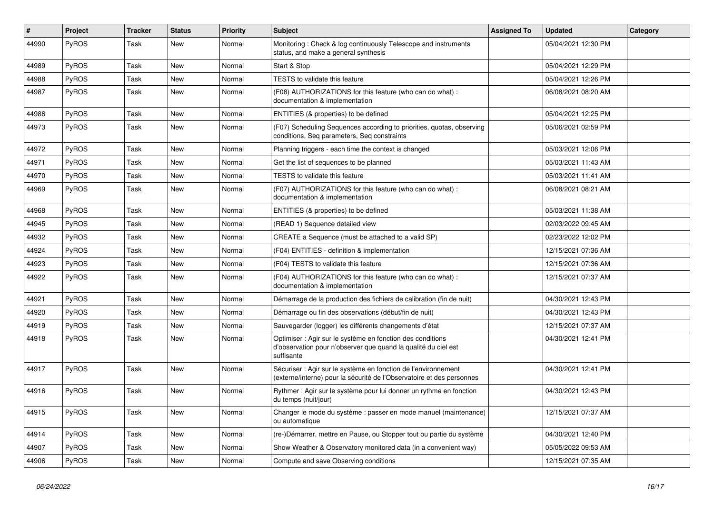| #     | Project      | <b>Tracker</b> | <b>Status</b> | <b>Priority</b> | <b>Subject</b>                                                                                                                             | <b>Assigned To</b> | <b>Updated</b>      | Category |
|-------|--------------|----------------|---------------|-----------------|--------------------------------------------------------------------------------------------------------------------------------------------|--------------------|---------------------|----------|
| 44990 | PyROS        | Task           | New           | Normal          | Monitoring: Check & log continuously Telescope and instruments<br>status, and make a general synthesis                                     |                    | 05/04/2021 12:30 PM |          |
| 44989 | PyROS        | Task           | New           | Normal          | Start & Stop                                                                                                                               |                    | 05/04/2021 12:29 PM |          |
| 44988 | PyROS        | Task           | New           | Normal          | <b>TESTS to validate this feature</b>                                                                                                      |                    | 05/04/2021 12:26 PM |          |
| 44987 | <b>PyROS</b> | Task           | New           | Normal          | (F08) AUTHORIZATIONS for this feature (who can do what) :<br>documentation & implementation                                                |                    | 06/08/2021 08:20 AM |          |
| 44986 | <b>PyROS</b> | Task           | New           | Normal          | ENTITIES (& properties) to be defined                                                                                                      |                    | 05/04/2021 12:25 PM |          |
| 44973 | PyROS        | Task           | New           | Normal          | (F07) Scheduling Sequences according to priorities, quotas, observing<br>conditions, Seq parameters, Seq constraints                       |                    | 05/06/2021 02:59 PM |          |
| 44972 | PyROS        | Task           | New           | Normal          | Planning triggers - each time the context is changed                                                                                       |                    | 05/03/2021 12:06 PM |          |
| 44971 | PyROS        | Task           | New           | Normal          | Get the list of sequences to be planned                                                                                                    |                    | 05/03/2021 11:43 AM |          |
| 44970 | <b>PyROS</b> | Task           | New           | Normal          | <b>TESTS</b> to validate this feature                                                                                                      |                    | 05/03/2021 11:41 AM |          |
| 44969 | <b>PyROS</b> | Task           | <b>New</b>    | Normal          | (F07) AUTHORIZATIONS for this feature (who can do what):<br>documentation & implementation                                                 |                    | 06/08/2021 08:21 AM |          |
| 44968 | <b>PyROS</b> | Task           | New           | Normal          | ENTITIES (& properties) to be defined                                                                                                      |                    | 05/03/2021 11:38 AM |          |
| 44945 | PyROS        | Task           | New           | Normal          | (READ 1) Sequence detailed view                                                                                                            |                    | 02/03/2022 09:45 AM |          |
| 44932 | PyROS        | Task           | New           | Normal          | CREATE a Sequence (must be attached to a valid SP)                                                                                         |                    | 02/23/2022 12:02 PM |          |
| 44924 | PyROS        | Task           | New           | Normal          | (F04) ENTITIES - definition & implementation                                                                                               |                    | 12/15/2021 07:36 AM |          |
| 44923 | PyROS        | Task           | New           | Normal          | (F04) TESTS to validate this feature                                                                                                       |                    | 12/15/2021 07:36 AM |          |
| 44922 | PyROS        | Task           | New           | Normal          | (F04) AUTHORIZATIONS for this feature (who can do what) :<br>documentation & implementation                                                |                    | 12/15/2021 07:37 AM |          |
| 44921 | PyROS        | Task           | New           | Normal          | Démarrage de la production des fichiers de calibration (fin de nuit)                                                                       |                    | 04/30/2021 12:43 PM |          |
| 44920 | PyROS        | Task           | New           | Normal          | Démarrage ou fin des observations (début/fin de nuit)                                                                                      |                    | 04/30/2021 12:43 PM |          |
| 44919 | PyROS        | Task           | <b>New</b>    | Normal          | Sauvegarder (logger) les différents changements d'état                                                                                     |                    | 12/15/2021 07:37 AM |          |
| 44918 | PyROS        | Task           | New           | Normal          | Optimiser : Agir sur le système en fonction des conditions<br>d'observation pour n'observer que quand la qualité du ciel est<br>suffisante |                    | 04/30/2021 12:41 PM |          |
| 44917 | PyROS        | Task           | New           | Normal          | Sécuriser : Agir sur le système en fonction de l'environnement<br>(externe/interne) pour la sécurité de l'Observatoire et des personnes    |                    | 04/30/2021 12:41 PM |          |
| 44916 | PyROS        | Task           | <b>New</b>    | Normal          | Rythmer : Agir sur le système pour lui donner un rythme en fonction<br>du temps (nuit/jour)                                                |                    | 04/30/2021 12:43 PM |          |
| 44915 | PyROS        | Task           | New           | Normal          | Changer le mode du système : passer en mode manuel (maintenance)<br>ou automatique                                                         |                    | 12/15/2021 07:37 AM |          |
| 44914 | <b>PyROS</b> | Task           | New           | Normal          | (re-)Démarrer, mettre en Pause, ou Stopper tout ou partie du système                                                                       |                    | 04/30/2021 12:40 PM |          |
| 44907 | PyROS        | Task           | New           | Normal          | Show Weather & Observatory monitored data (in a convenient way)                                                                            |                    | 05/05/2022 09:53 AM |          |
| 44906 | PyROS        | Task           | New           | Normal          | Compute and save Observing conditions                                                                                                      |                    | 12/15/2021 07:35 AM |          |